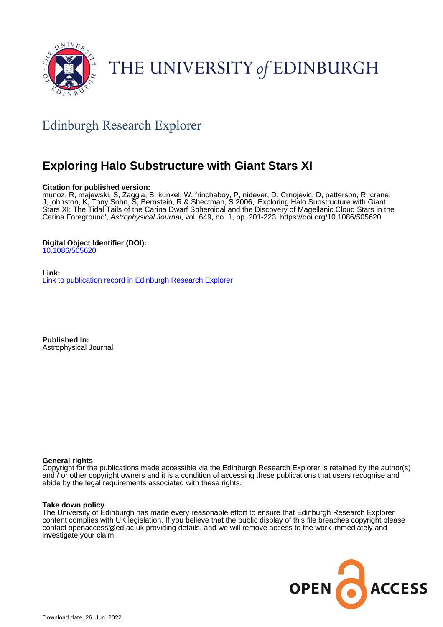

# THE UNIVERSITY of EDINBURGH

# Edinburgh Research Explorer

# **Exploring Halo Substructure with Giant Stars XI**

# **Citation for published version:**

munoz, R, majewski, S, Zaggia, S, kunkel, W, frinchaboy, P, nidever, D, Crnojevic, D, patterson, R, crane, J, johnston, K, Tony Sohn, S, Bernstein, R & Shectman, S 2006, 'Exploring Halo Substructure with Giant Stars XI: The Tidal Tails of the Carina Dwarf Spheroidal and the Discovery of Magellanic Cloud Stars in the Carina Foreground', Astrophysical Journal, vol. 649, no. 1, pp. 201-223.<https://doi.org/10.1086/505620>

# **Digital Object Identifier (DOI):**

[10.1086/505620](https://doi.org/10.1086/505620)

**Link:** [Link to publication record in Edinburgh Research Explorer](https://www.research.ed.ac.uk/en/publications/0470ebc1-f8a7-49cc-9f21-1d57a92639cd)

**Published In:** Astrophysical Journal

# **General rights**

Copyright for the publications made accessible via the Edinburgh Research Explorer is retained by the author(s) and / or other copyright owners and it is a condition of accessing these publications that users recognise and abide by the legal requirements associated with these rights.

# **Take down policy**

The University of Edinburgh has made every reasonable effort to ensure that Edinburgh Research Explorer content complies with UK legislation. If you believe that the public display of this file breaches copyright please contact openaccess@ed.ac.uk providing details, and we will remove access to the work immediately and investigate your claim.

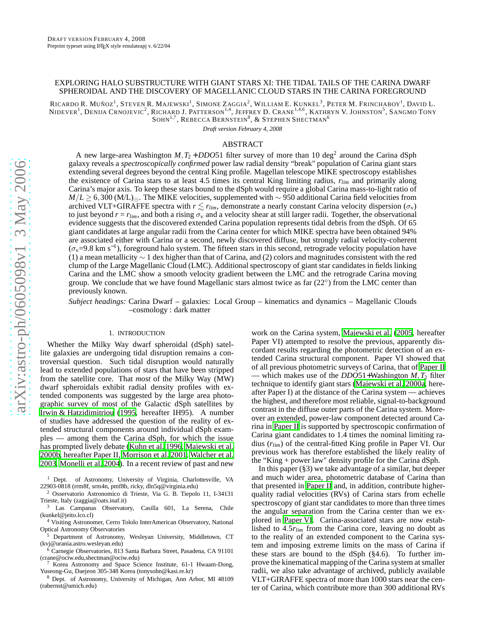#### EXPLORING HALO SUBSTRUCTURE WITH GIANT STARS XI: THE TIDAL TAILS OF THE CARINA DWARF SPHEROIDAL AND THE DISCOVERY OF MAGELLANIC CLOUD STARS IN THE CARINA FOREGROUND

RICARDO R. MUÑOZ<sup>1</sup>, STEVEN R. MAJEWSKI<sup>1</sup>, SIMONE ZAGGIA<sup>2</sup>, WILLIAM E. KUNKEL<sup>3</sup>, PETER M. FRINCHABOY<sup>1</sup>, DAVID L. NIDEVER<sup>1</sup>, DENIJA CRNOJEVIC<sup>2</sup>, RICHARD J. PATTERSON<sup>1,4</sup>, JEFFREY D. CRANE<sup>1,4,6</sup>, KATHRYN V. JOHNSTON<sup>5</sup>, SANGMO TONY SOHN $^{1,7}$ , Rebecca Bernstein $^8$ , & Stephen Shectman $^6$ 

*Draft version February 4, 2008*

## ABSTRACT

A new large-area Washington  $M$ ,  $T_2$  + *DDO*51 filter survey of more than 10 deg<sup>2</sup> around the Carina dSph galaxy reveals a *spectroscopically confirmed* power law radial density "break" population of Carina giant stars extending several degrees beyond the central King profile. Magellan telescope MIKE spectroscopy establishes the existence of Carina stars to at least 4.5 times its central King limiting radius, *rlim* and primarily along Carina's major axis. To keep these stars bound to the dSph would require a global Carina mass-to-light ratio of *M*/*L* ≥ 6,300 (M/L)<sub>⊙</sub>. The MIKE velocities, supplemented with ∼ 950 additional Carina field velocities from archived VLT+GIRAFFE spectra with  $r \lesssim r_{lim}$ , demonstrate a nearly constant Carina velocity dispersion ( $\sigma_v$ ) to just beyond  $r = r_{lim}$ , and both a rising  $\sigma_v$  and a velocity shear at still larger radii. Together, the observational evidence suggests that the discovered extended Carina population represents tidal debris from the dSph. Of 65 giant candidates at large angular radii from the Carina center for which MIKE spectra have been obtained 94% are associated either with Carina or a second, newly discovered diffuse, but strongly radial velocity-coherent  $(\sigma_{\rm v}=9.8~{\rm km~s^{-1}})$ , foreground halo system. The fifteen stars in this second, retrograde velocity population have (1) a mean metallicity ∼ 1 dex higher than that of Carina, and (2) colors and magnitudes consistent with the red clump of the Large Magellanic Cloud (LMC). Additional spectroscopy of giant star candidates in fields linking Carina and the LMC show a smooth velocity gradient between the LMC and the retrograde Carina moving group. We conclude that we have found Magellanic stars almost twice as far  $(22^{\circ})$  from the LMC center than previously known.

*Subject headings:* Carina Dwarf – galaxies: Local Group – kinematics and dynamics – Magellanic Clouds –cosmology : dark matter

#### 1. INTRODUCTION

Whether the Milky Way dwarf spheroidal (dSph) satellite galaxies are undergoing tidal disruption remains a controversial question. Such tidal disruption would naturally lead to extended populations of stars that have been strippe d from the satellite core. That *most* of the Milky Way (MW) dwarf spheroidals exhibit radial density profiles with extended components was suggested by the large area photographic survey of most of the Galactic dSph satellites by [Irwin & Hatzidimitriou \(1995,](#page-15-0) hereafter IH95). A number of studies have addressed the question of the reality of extended structural components around individual dSph examples — among them the Carina dSph, for which the issue has prompted lively debate [\(Kuhn et al. 1996,](#page-15-1) [Majewski et al.](#page-15-2) [2000b,](#page-15-2) hereafter Paper II, [Morrison et al. 2001,](#page-16-0) [Walcher et al.](#page-16-1) [2003,](#page-16-1) [Monelli et al. 2004](#page-16-2)). In a recent review of past and new

- <sup>1</sup> Dept. of Astronomy, University of Virginia, Charlottesville, VA 22903-0818 (rrm8f, srm4n, pmf8b, ricky, dln5q@virginia.edu)
- <sup>2</sup> Osservatorio Astronomico di Trieste, Via G. B. Tiepolo 11, I-34131 Trieste, Italy (zaggia@oats.inaf.it)
- <sup>3</sup> Las Campanas Observatory, Casilla 601, La Serena, Chile (kunkel@jeito.lco.cl)
- <sup>4</sup> Visiting Astronomer, Cerro Tololo InterAmerican Observatory, National Optical Astronomy Observatories
- <sup>5</sup> Department of Astronomy, Wesleyan University, Middletown, CT (kvj@urania.astro.wesleyan.edu)
- $^6$  Carnegie Observatories, 813 Santa Barbara Street, Pasadena, CA 91101 (crane@ociw.edu,shectman@ociw.edu)
- Korea Astronomy and Space Science Institute, 61-1 Hwaam-Dong, Yuseong-Gu, Daejeon 305-348 Korea (tonysohn@kasi.re.kr)
- <sup>8</sup> Dept. of Astronomy, University of Michigan, Ann Arbor, MI 48109 (rabernst@umich.edu)

work on the Carina system, [Majewski et al.](#page-16-3) [\(2005,](#page-16-3) hereafter Paper VI) attempted to resolve the previous, apparently discordant results regarding the photometric detection of an extended Carina structural component. Paper VI showed that of all previous photometric surveys of Carina, that of [Paper](#page-15-2) II — which makes use of the *DDO*51+Washington *M*, *T*<sub>2</sub> filter technique to identify giant stars [\(Majewski et al. 2000a,](#page-15-3) hereafter Paper I) at the distance of the Carina system — achieves the highest, and therefore most reliable, signal-to-background contrast in the diffuse outer parts of the Carina system. Moreover an extended, power-law component detected around Carina in [Paper II](#page-15-2) is supported by spectroscopic confirmation of Carina giant candidates to 1.4 times the nominal limiting ra dius ( *rlim*) of the central-fitted King profile in Paper VI. Our previous work has therefore established the likely reality of the "King + power law" density profile for the Carina dSph.

In this paper  $(\S 3)$  we take advantage of a similar, but deeper and much wider area, photometric database of Carina than that presented in [Paper II](#page-15-2) and, in addition, contribute higherquality radial velocities (RVs) of Carina stars from echelle spectroscopy of giant star candidates to more than three times the angular separation from the Carina center than we explored in [Paper VI](#page-16-3). Carina-associated stars are now established to 4.5*rlim* from the Carina core, leaving no doubt as to the reality of an extended component to the Carina system and imposing extreme limits on the mass of Carina if these stars are bound to the dSph (§4.6). To further improve the kinematical mapping of the Carina system at smaller radii, we also take advantage of archived, publicly available VLT+GIRAFFE spectra of more than 1000 stars near the center of Carina, which contribute more than 300 additional RVs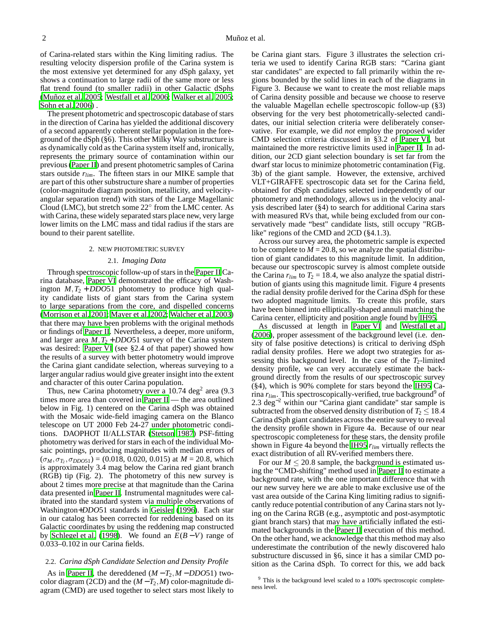of Carina-related stars within the King limiting radius. The resulting velocity dispersion profile of the Carina system is the most extensive yet determined for any dSph galaxy, yet shows a continuation to large radii of the same more or less flat trend found (to smaller radii) in other Galactic dSphs [\(Muñoz et al. 2005;](#page-16-4) [Westfall et al. 2006](#page-16-5); [Walker et al. 2005;](#page-16-6) [Sohn et al. 2006\)](#page-16-7) .

The present photometric and spectroscopic database of stars in the direction of Carina has yielded the additional discovery of a second apparently coherent stellar population in the foreground of the dSph (§6). This other Milky Way substructure is as dynamically cold as the Carina system itself and, ironically, represents the primary source of contamination within our previous [\(Paper II\)](#page-15-2) and present photometric samples of Carina stars outside *rlim*. The fifteen stars in our MIKE sample that are part of this other substructure share a number of properties (color-magnitude diagram position, metallicity, and velocityangular separation trend) with stars of the Large Magellanic Cloud (LMC), but stretch some  $22^{\circ}$  from the LMC center. As with Carina, these widely separated stars place new, very large lower limits on the LMC mass and tidal radius if the stars are bound to their parent satellite.

#### 2. NEW PHOTOMETRIC SURVEY

#### 2.1. *Imaging Data*

Through spectroscopic follow-up of stars in the [Paper II](#page-15-2) Carina database, [Paper VI](#page-16-3) demonstrated the efficacy of Washington  $M$ , $T_2$  + *DDO*51 photometry to produce high quality candidate lists of giant stars from the Carina system to large separations from the core, and dispelled concerns [\(Morrison et al. 2001;](#page-16-0) [Mayer et al. 2002;](#page-16-8) [Walcher et al. 2003\)](#page-16-1) that there may have been problems with the original methods or findings of [Paper II](#page-15-2). Nevertheless, a deeper, more uniform, and larger area  $M$ ,  $T_2$  + *DDO*51 survey of the Carina system was desired: [Paper VI](#page-16-3) (see §2.4 of that paper) showed how the results of a survey with better photometry would improve the Carina giant candidate selection, whereas surveying to a larger angular radius would give greater insight into the extent and character of this outer Carina population.

Thus, new Carina photometry over a 10.74 deg<sup>2</sup> area (9.3) times more area than covered in [Paper II](#page-15-2) — the area outlined below in Fig. 1) centered on the Carina dSph was obtained with the Mosaic wide-field imaging camera on the Blanco telescope on UT 2000 Feb 24-27 under photometric conditions. DAOPHOT II/ALLSTAR [\(Stetson 1987](#page-16-9)) PSF-fitting photometry was derived for stars in each of the individual Mosaic pointings, producing magnitudes with median errors of  $(\sigma_M, \sigma_{T_2}, \sigma_{DDO51}) = (0.018, 0.020, 0.015)$  at  $M = 20.8$ , which is approximately 3.4 mag below the Carina red giant branch (RGB) tip (Fig. 2). The photometry of this new survey is about 2 times more precise at that magnitude than the Carina data presented in [Paper II.](#page-15-2) Instrumental magnitudes were calibrated into the standard system via multiple observations of Washington+*DDO*51 standards in [Geisler \(1996\)](#page-15-4). Each star in our catalog has been corrected for reddening based on its Galactic coordinates by using the reddening map constructed by [Schlegel et al. \(1998\)](#page-16-10). We found an *E*(*B* −*V*) range of 0.033–0.102 in our Carina fields.

#### 2.2. *Carina dSph Candidate Selection and Density Profile*

As in [Paper II,](#page-15-2) the dereddened  $(M - T_2, M - DDO51)$  twocolor diagram (2CD) and the  $(M - T_2, M)$  color-magnitude diagram (CMD) are used together to select stars most likely to

be Carina giant stars. Figure 3 illustrates the selection criteria we used to identify Carina RGB stars: "Carina giant star candidates" are expected to fall primarily within the regions bounded by the solid lines in each of the diagrams in Figure 3. Because we want to create the most reliable maps of Carina density possible and because we choose to reserve the valuable Magellan echelle spectroscopic follow-up (§3) observing for the very best photometrically-selected candidates, our initial selection criteria were deliberately conservative. For example, we did *not* employ the proposed wider CMD selection criteria discussed in §3.2 of [Paper VI](#page-16-3), but maintained the more restrictive limits used in [Paper II.](#page-15-2) In addition, our 2CD giant selection boundary is set far from the dwarf star locus to minimize photometric contamination (Fig. 3b) of the giant sample. However, the extensive, archived VLT+GIRAFFE spectroscopic data set for the Carina field, obtained for dSph candidates selected independently of our photometry and methodology, allows us in the velocity analysis described later (§4) to search for additional Carina stars with measured RVs that, while being excluded from our conservatively made "best" candidate lists, still occupy "RGBlike" regions of the CMD and 2CD (§4.1.3).

Across our survey area, the photometric sample is expected to be complete to  $M = 20.8$ , so we analyze the spatial distribution of giant candidates to this magnitude limit. In addition, because our spectroscopic survey is almost complete outside the Carina  $r_{lim}$  to  $T_2 = 18.4$ , we also analyze the spatial distribution of giants using this magnitude limit. Figure 4 presents the radial density profile derived for the Carina dSph for these two adopted magnitude limits. To create this profile, stars have been binned into elliptically-shaped annuli matching the Carina center, ellipticity and position angle found by [IH95.](#page-15-0)

As discussed at length in [Paper VI](#page-16-3) and [Westfall et al.](#page-16-5) [\(2006\)](#page-16-5), proper assessment of the background level (i.e. density of false positive detections) is critical to deriving dSph radial density profiles. Here we adopt two strategies for assessing this backgound level. In the case of the  $T_2$ -limited density profile, we can very accurately estimate the background directly from the results of our spectroscopic survey (§4), which is 90% complete for stars beyond the [IH95](#page-15-0) Carina  $r_{lim}$ . This spectroscopically-verified, true background<sup>9</sup> of 2.3 deg<sup>-2</sup> within our "Carina giant candidate" star sample is subtracted from the observed density distribution of  $T_2 \le 18.4$ Carina dSph giant candidates across the entire survey to reveal the density profile shown in Figure 4a. Because of our near spectroscopic completeness for these stars, the density profile shown in Figure 4a beyond the [IH95](#page-15-0) *rlim* virtually reflects the exact distribution of all RV-verified members there.

For our  $M \leq 20.8$  sample, the background is estimated using the "CMD-shifting" method used in [Paper II](#page-15-2) to estimate a background rate, with the one important difference that with our new survey here we are able to make exclusive use of the vast area outside of the Carina King limiting radius to significantly reduce potential contribution of any Carina stars not lying on the Carina RGB (e.g., asymptotic and post-asymptotic giant branch stars) that may have artificially inflated the estimated backgrounds in the [Paper II](#page-15-2) execution of this method. On the other hand, we acknowledge that this method may also underestimate the contribution of the newly discovered halo substructure discussed in §6, since it has a similar CMD position as the Carina dSph. To correct for this, we add back

<sup>&</sup>lt;sup>9</sup> This is the background level scaled to a 100% spectroscopic completeness level.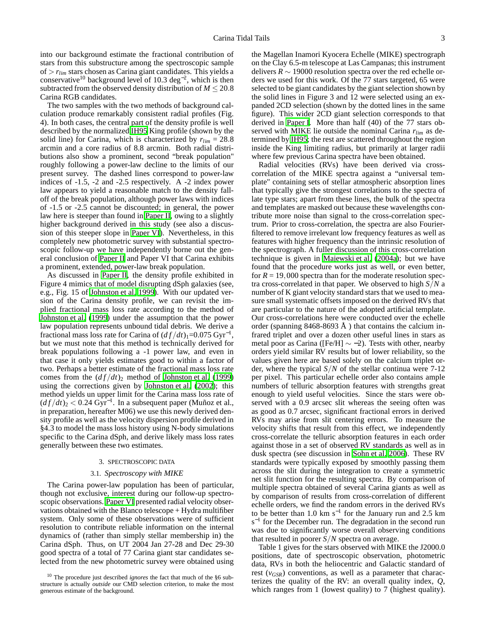into our background estimate the fractional contribution of stars from this substructure among the spectroscopic sample of > *rlim* stars chosen as Carina giant candidates. This yields a conservative<sup>10</sup> background level of 10.3 deg<sup>-2</sup>, which is then subtracted from the observed density distribution of  $M \leq 20.8$ Carina RGB candidates.

The two samples with the two methods of background calculation produce remarkably consistent radial profiles (Fig. 4). In both cases, the central part of the density profile is well described by the normalized [IH95](#page-15-0) King profile (shown by the solid line) for Carina, which is characterized by  $r_{lim} = 28.8$ arcmin and a core radius of 8.8 arcmin. Both radial distributions also show a prominent, second "break population" roughly following a power-law decline to the limits of our present survey. The dashed lines correspond to power-law indices of -1.5, -2 and -2.5 respectively. A -2 index power law appears to yield a reasonable match to the density falloff of the break population, although power laws with indices of -1.5 or -2.5 cannot be discounted; in general, the power law here is steeper than found in [Paper II](#page-15-2), owing to a slightly higher background derived in this study (see also a discussion of this steeper slope in [Paper VI\)](#page-16-3). Nevertheless, in this completely new photometric survey with substantial spectroscopic follow-up we have independently borne out the general conclusion of [Paper II](#page-15-2) and Paper VI that Carina exhibits a prominent, extended, power-law break population.

As discussed in [Paper II,](#page-15-2) the density profile exhibited in Figure 4 mimics that of model disrupting dSph galaxies (see, e.g., Fig. 15 of [Johnston et al. 1999\)](#page-15-5). With our updated version of the Carina density profile, we can revisit the implied fractional mass loss rate according to the method of [Johnston et al. \(1999\)](#page-15-5) under the assumption that the power law population represents unbound tidal debris. We derive a fractional mass loss rate for Carina of  $(df/dt)<sub>1</sub>=0.075 \text{ Gyr}^{-1}$ , but we must note that this method is technically derived for break populations following a -1 power law, and even in that case it only yields estimates good to within a factor of two. Perhaps a better estimate of the fractional mass loss rate comes from the  $\left(\frac{df}{dt}\right)_2$  method of [Johnston et al. \(1999\)](#page-15-5) using the corrections given by [Johnston et al. \(2002\)](#page-15-6); this method yields un upper limit for the Carina mass loss rate of  $(df/dt)_2 < 0.24 \text{ Gyr}^{-1}$ . In a subsequent paper (Muñoz et al., in preparation, hereafter M06) we use this newly derived density profile as well as the velocity dispersion profile derived in §4.3 to model the mass loss history using N-body simulations specific to the Carina dSph, and derive likely mass loss rates generally between these two estimates.

# 3. SPECTROSCOPIC DATA

#### 3.1. *Spectroscopy with MIKE*

The Carina power-law population has been of particular, though not exclusive, interest during our follow-up spectroscopic observations. [Paper VI](#page-16-3) presented radial velocity observations obtained with the Blanco telescope + Hydra multifiber system. Only some of these observations were of sufficient resolution to contribute reliable information on the internal dynamics of (rather than simply stellar membership in) the Carina dSph. Thus, on UT 2004 Jan 27-28 and Dec 29-30 good spectra of a total of 77 Carina giant star candidates selected from the new photometric survey were obtained using

the Magellan Inamori Kyocera Echelle (MIKE) spectrograph on the Clay 6.5-m telescope at Las Campanas; this instrument delivers *R* ∼ 19000 resolution spectra over the red echelle orders we used for this work. Of the 77 stars targeted, 65 were selected to be giant candidates by the giant selection shown by the solid lines in Figure 3 and 12 were selected using an expanded 2CD selection (shown by the dotted lines in the same figure). This wider 2CD giant selection corresponds to that derived in [Paper I.](#page-15-3) More than half (40) of the 77 stars observed with MIKE lie outside the nominal Carina *rlim* as determined by [IH95;](#page-15-0) the rest are scattered throughout the region inside the King limiting radius, but primarily at larger radii where few previous Carina spectra have been obtained.

Radial velocities (RVs) have been derived via crosscorrelation of the MIKE spectra against a "universal template" containing sets of stellar atmospheric absorption lines that typically give the strongest correlations to the spectra of late type stars; apart from these lines, the bulk of the spectra and templates are masked out because these wavelengths contribute more noise than signal to the cross-correlation spectrum. Prior to cross-correlation, the spectra are also Fourierfiltered to remove irrelevant low frequency features as well as features with higher frequency than the intrinsic resolution of the spectrograph. A fuller discussion of this cross-correlation technique is given in [Majewski et al. \(2004a\)](#page-15-7); but we have found that the procedure works just as well, or even better, for  $R = 19,000$  spectra than for the moderate resolution spectra cross-correlated in that paper. We observed to high *S*/*N* a number of K giant velocity standard stars that we used to measure small systematic offsets imposed on the derived RVs that are particular to the nature of the adopted artificial template. Our cross-correlations here were conducted over the echelle order (spanning  $8468-8693$  Å) that contains the calcium infrared triplet and over a dozen other useful lines in stars as metal poor as Carina ([Fe/H]  $\sim$  -2). Tests with other, nearby orders yield similar RV results but of lower reliability, so the values given here are based solely on the calcium triplet order, where the typical *S*/*N* of the stellar continua were 7-12 per pixel. This particular echelle order also contains ample numbers of telluric absorption features with strengths great enough to yield useful velocities. Since the stars were observed with a 0.9 arcsec slit whereas the seeing often was as good as 0.7 arcsec, significant fractional errors in derived RVs may arise from slit centering errors. To measure the velocity shifts that result from this effect, we independently cross-correlate the telluric absorption features in each order against those in a set of observed RV standards as well as in dusk spectra (see discussion in [Sohn et al. 2006](#page-16-7)). These RV standards were typically exposed by smoothly passing them across the slit during the integration to create a symmetric net slit function for the resulting spectra. By comparison of multiple spectra obtained of several Carina giants as well as by comparison of results from cross-correlation of different echelle orders, we find the random errors in the derived RVs to be better than 1.0 km s<sup>-1</sup> for the January run and 2.5 km  $s^{-1}$  for the December run. The degradation in the second run was due to significantly worse overall observing conditions that resulted in poorer *S*/*N* spectra on average.

Table 1 gives for the stars observed with MIKE the J2000.0 positions, date of spectroscopic observation, photometric data, RVs in both the heliocentric and Galactic standard of rest  $(v_{GSR})$  conventions, as well as a parameter that characterizes the quality of the RV: an overall quality index, *Q*, which ranges from 1 (lowest quality) to 7 (highest quality).

<sup>10</sup> The procedure just described *ignores* the fact that much of the §6 substructure is actually *outside* our CMD selection criterion, to make the most generous estimate of the background.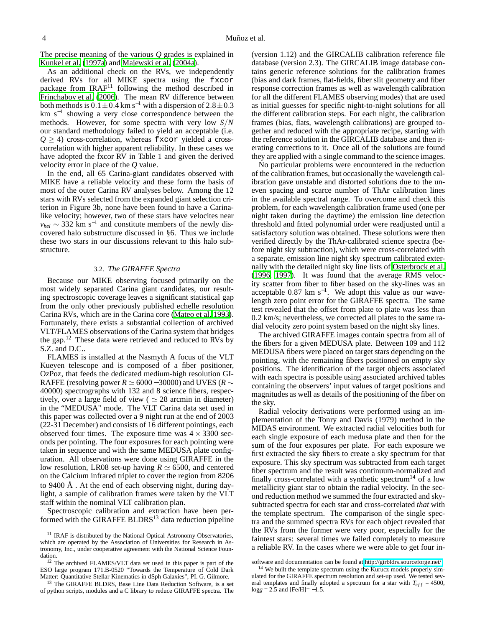The precise meaning of the various *Q* grades is explained in [Kunkel et al.](#page-15-8) [\(1997a\)](#page-15-8) and [Majewski et al. \(2004a\)](#page-15-7).

As an additional check on the RVs, we independently derived RVs for all MIKE spectra using the fxcor package from  $IRAF<sup>11</sup>$  following the method described in [Frinchaboy et al. \(2006\)](#page-15-9). The mean RV difference between both methods is  $0.1 \pm 0.4$  km s<sup>-1</sup> with a dispersion of  $2.8 \pm 0.3$ km s−<sup>1</sup> showing a very close correspondence between the methods. However, for some spectra with very low *S*/*N* our standard methodology failed to yield an acceptable (i.e.  $Q \geq 4$ ) cross-correlation, whereas fxcor yielded a crosscorrelation with higher apparent reliability. In these cases we have adopted the fxcor RV in Table 1 and given the derived velocity error in place of the *Q* value.

In the end, all 65 Carina-giant candidates observed with MIKE have a reliable velocity and these form the basis of most of the outer Carina RV analyses below. Among the 12 stars with RVs selected from the expanded giant selection criterion in Figure 3b, none have been found to have a Carinalike velocity; however, two of these stars have velocites near  $v_{hel}$  ~ 332 km s<sup>-1</sup> and constitute members of the newly discovered halo substructure discussed in §6. Thus we include these two stars in our discussions relevant to this halo substructure.

#### 3.2. *The GIRAFFE Spectra*

Because our MIKE observing focused primarily on the most widely separated Carina giant candidates, our resulting spectroscopic coverage leaves a significant statistical gap from the only other previously published echelle resolution Carina RVs, which are in the Carina core [\(Mateo et al. 1993\)](#page-16-11). Fortunately, there exists a substantial collection of archived VLT/FLAMES observations of the Carina system that bridges the gap.<sup>12</sup> These data were retrieved and reduced to RVs by S.Z. and D.C..

FLAMES is installed at the Nasmyth A focus of the VLT Kueyen telescope and is composed of a fiber positioner, OzPoz, that feeds the dedicated medium-high resolution GI-RAFFE (resolving power  $R \simeq 6000 - 30000$ ) and UVES ( $R \sim$ 40000) spectrographs with 132 and 8 science fibers, respectively, over a large field of view ( $\simeq 28$  arcmin in diameter) in the "MEDUSA" mode. The VLT Carina data set used in this paper was collected over a 9 night run at the end of 2003 (22-31 December) and consists of 16 different pointings, each observed four times. The exposure time was  $4 \times 3300$  seconds per pointing. The four exposures for each pointing were taken in sequence and with the same MEDUSA plate configuration. All observations were done using GIRAFFE in the low resolution, LR08 set-up having  $R \simeq 6500$ , and centered on the Calcium infrared triplet to cover the region from 8206 to 9400 Å . At the end of each observing night, during daylight, a sample of calibration frames were taken by the VLT staff within the nominal VLT calibration plan.

Spectroscopic calibration and extraction have been performed with the GIRAFFE BLDRS<sup>13</sup> data reduction pipeline

(version 1.12) and the GIRCALIB calibration reference file database (version 2.3). The GIRCALIB image database contains generic reference solutions for the calibration frames (bias and dark frames, flat-fields, fiber slit geometry and fiber response correction frames as well as wavelength calibration for all the different FLAMES observing modes) that are used as initial guesses for specific night-to-night solutions for all the different calibration steps. For each night, the calibration frames (bias, flats, wavelength calibrations) are grouped together and reduced with the appropriate recipe, starting with the reference solution in the GIRCALIB database and then iterating corrections to it. Once all of the solutions are found they are applied with a single command to the science images.

No particular problems were encountered in the reduction of the calibration frames, but occasionally the wavelength calibration gave unstable and distorted solutions due to the uneven spacing and scarce number of ThAr calibration lines in the available spectral range. To overcome and check this problem, for each wavelength calibration frame used (one per night taken during the daytime) the emission line detection threshold and fitted polynomial order were readjusted until a satisfactory solution was obtained. These solutions were then verified directly by the ThAr-calibrated science spectra (before night sky subtraction), which were cross-correlated with a separate, emission line night sky spectrum calibrated externally with the detailed night sky line lists of [Osterbrock et](#page-16-12) al. [\(1996,](#page-16-12) [1997\)](#page-16-13). It was found that the average RMS velocity scatter from fiber to fiber based on the sky-lines was an acceptable  $0.87 \text{ km s}^{-1}$ . We adopt this value as our wavelength zero point error for the GIRAFFE spectra. The same test revealed that the offset from plate to plate was less than 0.2 km/s; nevertheless, we corrected all plates to the same radial velocity zero point system based on the night sky lines.

The archived GIRAFFE images contain spectra from all of the fibers for a given MEDUSA plate. Between 109 and 112 MEDUSA fibers were placed on target stars depending on the pointing, with the remaining fibers positioned on empty sky positions. The identification of the target objects associated with each spectra is possible using associated archived tables containing the observers' input values of target positions and magnitudes as well as details of the positioning of the fiber on the sky.

Radial velocity derivations were performed using an implementation of the Tonry and Davis (1979) method in the MIDAS environment. We extracted radial velocities both for each single exposure of each medusa plate and then for the sum of the four exposures per plate. For each exposure we first extracted the sky fibers to create a sky spectrum for that exposure. This sky spectrum was subtracted from each target fiber spectrum and the result was continuum-normalized and finally cross-correlated with a synthetic spectrum<sup>14</sup> of a low metallicity giant star to obtain the radial velocity. In the second reduction method we summed the four extracted and skysubtracted spectra for each star and cross-correlated *that* with the template spectrum. The comparison of the single spectra and the summed spectra RVs for each object revealed that the RVs from the former were very poor, especially for the faintest stars: several times we failed completely to measure a reliable RV. In the cases where we were able to get four in-

<sup>&</sup>lt;sup>11</sup> IRAF is distributed by the National Optical Astronomy Observatories, which are operated by the Association of Universities for Research in Astronomy, Inc., under cooperative agreement with the National Science Foundation.

<sup>12</sup> The archived FLAMES/VLT data set used in this paper is part of the ESO large program 171.B-0520 "Towards the Temperature of Cold Dark Matter: Quantitative Stellar Kinematics in dSph Galaxies", PI. G. Gilmore.

<sup>&</sup>lt;sup>13</sup> The GIRAFFE BLDRS, Base Line Data Reduction Software, is a set of python scripts, modules and a C library to reduce GIRAFFE spectra. The

software and documentation can be found at [http://girbldrs.sourceforge.net/.](http://girbldrs.sourceforge.net/)

<sup>&</sup>lt;sup>14</sup> We built the template spectrum using the Kurucz models properly simulated for the GIRAFFE spectrum resolution and set-up used. We tested several templates and finally adopted a spectrum for a star with  $T_{eff} = 4500$ ,  $\log g = 2.5$  and  $[Fe/H] = -1.5$ .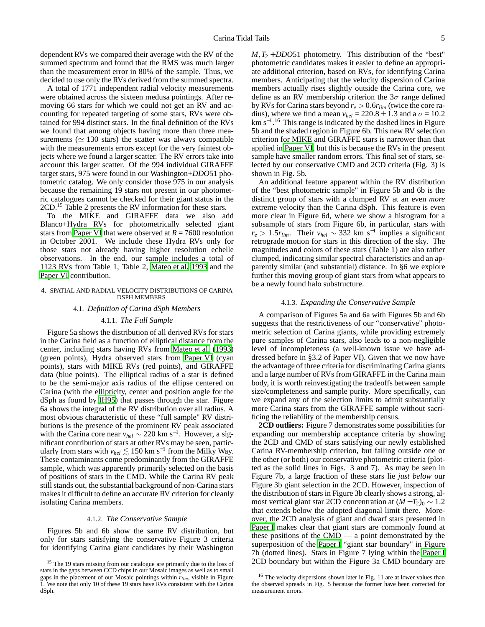dependent RVs we compared their average with the RV of the summed spectrum and found that the RMS was much larger than the measurement error in 80% of the sample. Thus, we decided to use only the RVs derived from the summed spectra.

A total of 1771 independent radial velocity measurements were obtained across the sixteen medusa pointings. After removing 66 stars for which we could not get an RV and accounting for repeated targeting of some stars, RVs were obtained for 994 distinct stars. In the final definition of the RVs we found that among objects having more than three measurements ( $\simeq$  130 stars) the scatter was always compatible with the measurements errors except for the very faintest objects where we found a larger scatter. The RV errors take into account this larger scatter. Of the 994 individual GIRAFFE target stars, 975 were found in our Washington+*DDO*51 photometric catalog. We only consider those 975 in our analysis because the remaining 19 stars not present in our photometric catalogues cannot be checked for their giant status in the 2CD.<sup>15</sup> Table 2 presents the RV information for these stars.

To the MIKE and GIRAFFE data we also add Blanco+Hydra RVs for photometrically selected giant stars from [Paper VI](#page-16-3) that were observed at  $R = 7600$  resolution in October 2001. We include these Hydra RVs only for those stars not already having higher resolution echelle observations. In the end, our sample includes a total of 1123 RVs from Table 1, Table 2, [Mateo et al. 1993](#page-16-11) and the [Paper VI](#page-16-3) contribution.

#### 4. SPATIAL AND RADIAL VELOCITY DISTRIBUTIONS OF CARINA DSPH MEMBERS

#### 4.1. *Definition of Carina dSph Members*

#### 4.1.1. *The Full Sample*

Figure 5a shows the distribution of all derived RVs for stars in the Carina field as a function of elliptical distance from the center, including stars having RVs from [Mateo et al. \(1993\)](#page-16-11) (green points), Hydra observed stars from [Paper VI](#page-16-3) (cyan points), stars with MIKE RVs (red points), and GIRAFFE data (blue points). The elliptical radius of a star is defined to be the semi-major axis radius of the ellipse centered on Carina (with the ellipticity, center and position angle for the dSph as found by [IH95\)](#page-15-0) that passes through the star. Figure 6a shows the integral of the RV distribution over all radius. A most obvious characteristic of these "full sample" RV distributions is the presence of the prominent RV peak associated with the Carina core near  $v_{hel} \sim 220$  km s<sup>-1</sup>. However, a significant contribution of stars at other RVs may be seen, particularly from stars with  $v_{hel} \lesssim 150 \text{ km s}^{-1}$  from the Milky Way. These contaminants come predominantly from the GIRAFFE sample, which was apparently primarily selected on the basis of positions of stars in the CMD. While the Carina RV peak still stands out, the substantial background of non-Carina stars makes it difficult to define an accurate RV criterion for cleanly isolating Carina members.

#### 4.1.2. *The Conservative Sample*

Figures 5b and 6b show the same RV distribution, but only for stars satisfying the conservative Figure 3 criteria for identifying Carina giant candidates by their Washington  $M$ ,  $T_2$  + *DDO*51 photometry. This distribution of the "best" photometric candidates makes it easier to define an appropriate additional criterion, based on RVs, for identifying Carina members. Anticipating that the velocity dispersion of Carina members actually rises slightly outside the Carina core, we define as an RV membership criterion the  $3\sigma$  range defined by RVs for Carina stars beyond  $r_e > 0.6r_{lim}$  (twice the core radius), where we find a mean  $v_{hel} = 220.8 \pm 1.3$  and a  $\sigma = 10.2$ km s−<sup>1</sup> . <sup>16</sup> This range is indicated by the dashed lines in Figure 5b and the shaded region in Figure 6b. This new RV selection criterion for MIKE and GIRAFFE stars is narrower than that applied in [Paper VI](#page-16-3), but this is because the RVs in the present sample have smaller random errors. This final set of stars, selected by our conservative CMD and 2CD criteria (Fig. 3) is shown in Fig. 5b.

An additional feature apparent within the RV distribution of the "best photometric sample" in Figure 5b and 6b is the distinct group of stars with a clumped RV at an even *more* extreme velocity than the Carina dSph. This feature is even more clear in Figure 6d, where we show a histogram for a subsample of stars from Figure 6b, in particular, stars with  $r_e > 1.5r_{lim}$ . Their  $v_{hel} \sim 332$  km s<sup>-1</sup> implies a significant retrograde motion for stars in this direction of the sky. The magnitudes and colors of these stars (Table 1) are also rather clumped, indicating similar spectral characteristics and an apparently similar (and substantial) distance. In §6 we explore further this moving group of giant stars from what appears to be a newly found halo substructure.

#### 4.1.3. *Expanding the Conservative Sample*

A comparison of Figures 5a and 6a with Figures 5b and 6b suggests that the restrictiveness of our "conservative" photometric selection of Carina giants, while providing extremely pure samples of Carina stars, also leads to a non-negligible level of incompleteness (a well-known issue we have addressed before in §3.2 of Paper VI). Given that we now have the advantage of three criteria for discriminating Carina giants and a large number of RVs from GIRAFFE in the Carina main body, it is worth reinvestigating the tradeoffs between sample size/completeness and sample purity. More specifically, can we expand any of the selection limits to admit substantially more Carina stars from the GIRAFFE sample without sacrificing the reliability of the membership census.

**2CD outliers:** Figure 7 demonstrates some possibilities for expanding our membership acceptance criteria by showing the 2CD and CMD of stars satisfying our newly established Carina RV-membership criterion, but falling outside one or the other (or both) our conservative photometric criteria (plotted as the solid lines in Figs. 3 and 7). As may be seen in Figure 7b, a large fraction of these stars lie *just below* our Figure 3b giant selection in the 2CD. However, inspection of the distribution of stars in Figure 3b clearly shows a strong, almost vertical giant star 2CD concentration at  $(M - T_2)_0 \sim 1.2$ that extends below the adopted diagonal limit there. Moreover, the 2CD analysis of giant and dwarf stars presented in [Paper I](#page-15-3) makes clear that giant stars are commonly found at these positions of the  $CMD -a$  point demonstrated by the superposition of the [Paper I](#page-15-3) "giant star boundary" in Figure 7b (dotted lines). Stars in Figure 7 lying within the [Paper I](#page-15-3) 2CD boundary but within the Figure 3a CMD boundary are

<sup>&</sup>lt;sup>15</sup> The 19 stars missing from our catalogue are primarily due to the loss of stars in the gaps between CCD chips in our Mosaic images as well as to small gaps in the placement of our Mosaic pointings within *rlim*, visible in Figure 1. We note that only 10 of these 19 stars have RVs consistent with the Carina dSph.

<sup>&</sup>lt;sup>16</sup> The velocity dispersions shown later in Fig. 11 are at lower values than the observed spreads in Fig. 5 because the former have been corrected for measurement errors.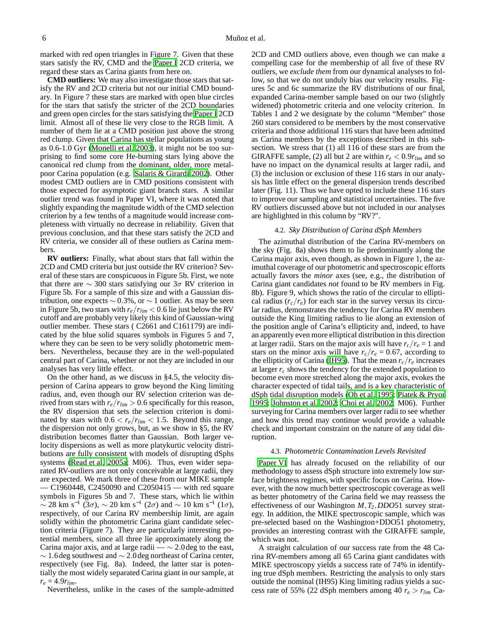marked with red open triangles in Figure 7. Given that these stars satisfy the RV, CMD and the [Paper I](#page-15-3) 2CD criteria, we regard these stars as Carina giants from here on.

**CMD outliers:** We may also investigate those stars that satisfy the RV and 2CD criteria but not our initial CMD boundary. In Figure 7 these stars are marked with open blue circles for the stars that satisfy the stricter of the 2CD boundaries and green open circles for the stars satisfying the [Paper I](#page-15-3) 2CD limit. Almost all of these lie very close to the RGB limit. A number of them lie at a CMD position just above the strong red clump. Given that Carina has stellar populations as young as 0.6-1.0 Gyr [\(Monelli et al. 2003\)](#page-16-14), it might not be too surprising to find some core He-burning stars lying above the canonical red clump from the dominant, older, more metalpoor Carina population (e.g. [Salaris & Girardi 2002\)](#page-16-15). Other modest CMD outliers are in CMD positions consistent with those expected for asymptotic giant branch stars. A similar outlier trend was found in Paper VI, where it was noted that slightly expanding the magnitude width of the CMD selection criterion by a few tenths of a magnitude would increase completeness with virtually no decrease in reliability. Given that previous conclusion, and that these stars satisfy the 2CD and RV criteria, we consider all of these outliers as Carina members.

**RV outliers:** Finally, what about stars that fall within the 2CD and CMD criteria but just outside the RV criterion? Several of these stars are conspicuous in Figure 5b. First, we note that there are  $\sim$  300 stars satisfying our 3 $\sigma$  RV criterion in Figure 5b. For a sample of this size and with a Gaussian distribution, one expects  $\sim 0.3\%$ , or  $\sim 1$  outlier. As may be seen in Figure 5b, two stars with  $r_e/r_{lim} < 0.6$  lie just below the RV cutoff and are probably very likely this kind of Gaussian-wing outlier member. These stars ( C2661 and C161179) are indicated by the blue solid squares symbols in Figures 5 and 7, where they can be seen to be very solidly photometric members. Nevertheless, because they are in the well-populated central part of Carina, whether or not they are included in our analyses has very little effect.

On the other hand, as we discuss in §4.5, the velocity dispersion of Carina appears to grow beyond the King limiting radius, and, even though our RV selection criterion was derived from stars with  $r_e/r_{lim} > 0.6$  specifically for this reason, the RV dispersion that sets the selection criterion is dominated by stars with  $0.6 < r_e/r_{lim} < 1.5$ . Beyond this range, the dispersion not only grows, but, as we show in §5, the RV distribution becomes flatter than Gaussian. Both larger velocity dispersions as well as more platykurtic velocity distributions are fully consistent with models of disrupting dSphs systems [\(Read et al. 2005a;](#page-16-16) M06). Thus, even wider separated RV-outliers are not only conceivable at large radii, they are expected. We mark three of these from our MIKE sample — C1960448, C2450090 and C2050415 — with red square symbols in Figures 5b and 7. These stars, which lie within  $\sim$  28 km s<sup>-1</sup> (3σ),  $\sim$  20 km s<sup>-1</sup> (2σ) and  $\sim$  10 km s<sup>-1</sup> (1σ), respectively, of our Carina RV membership limit, are again solidly within the photometric Carina giant candidate selection criteria (Figure 7). They are particularly interesting potential members, since all three lie approximately along the Carina major axis, and at large radii —  $\sim$  2.0 deg to the east,  $\sim$  1.6 deg southwest and  $\sim$  2.0 deg northeast of Carina center, respectively (see Fig. 8a). Indeed, the latter star is potentially the most widely separated Carina giant in our sample, at  $r_e = 4.9r_{lim}$ .

Nevertheless, unlike in the cases of the sample-admitted

2CD and CMD outliers above, even though we can make a compelling case for the membership of all five of these RV outliers, we *exclude them* from our dynamical analyses to follow, so that we do not unduly bias our velocity results. Figures 5c and 6c summarize the RV distributions of our final, expanded Carina-member sample based on our two (slightly widened) photometric criteria and one velocity criterion. In Tables 1 and 2 we designate by the column "Member" those 260 stars considered to be members by the most conservative criteria and those additional 116 stars that have been admitted as Carina members by the exceptions described in this subsection. We stress that (1) all 116 of these stars are from the GIRAFFE sample, (2) all but 2 are within  $r_e < 0.9r_{lim}$  and so have no impact on the dynamical results at larger radii, and (3) the inclusion or exclusion of these 116 stars in our analysis has little effect on the general dispersion trends described later (Fig. 11). Thus we have opted to include these 116 stars to improve our sampling and statistical uncertainties. The five RV outliers discussed above but not included in our analyses are highlighted in this column by "RV?".

#### 4.2. *Sky Distribution of Carina dSph Members*

The azimuthal distribution of the Carina RV-members on the sky (Fig. 8a) shows them to lie predominantly along the Carina major axis, even though, as shown in Figure 1, the azimuthal coverage of our photometric and spectroscopic efforts actually favors the *minor* axes (see, e.g., the distribution of Carina giant candidates *not* found to be RV members in Fig. 8b). Figure 9, which shows the ratio of the circular to elliptical radius  $(r_c/r_e)$  for each star in the survey versus its circular radius, demonstrates the tendency for Carina RV members outside the King limiting radius to lie along an extension of the position angle of Carina's ellipticity and, indeed, to have an apparently even more elliptical distribution in this direction at larger radii. Stars on the major axis will have  $r_c/r_e = 1$  and stars on the minor axis will have  $r_c/r_e = 0.67$ , according to the ellipticity of Carina [\(IH95\)](#page-15-0). That the mean  $r_c/r_e$  increases at larger *r<sup>c</sup>* shows the tendency for the extended population to become even more stretched along the major axis, evokes the character expected of tidal tails, and is a key characteristic of dSph tidal disruption models [\(Oh et al. 1995;](#page-16-17) [Piatek & Pryor](#page-16-18) [1995;](#page-16-18) [Johnston et al. 2002;](#page-15-6) [Choi et al. 2002;](#page-15-10) M06). Further surveying for Carina members over larger radii to see whether and how this trend may continue would provide a valuable check and important constraint on the nature of any tidal disruption.

#### 4.3. *Photometric Contamination Levels Revisited*

[Paper VI](#page-16-3) has already focused on the reliability of our methodology to assess dSph structure into extremely low surface brightness regimes, with specific focus on Carina. However, with the now much better spectroscopic coverage as well as better photometry of the Carina field we may reassess the effectiveness of our Washington *M*,*T*2,*DDO*51 survey strategy. In addition, the MIKE spectroscopic sample, which was pre-selected based on the Washington+DDO51 photometry, provides an interesting contrast with the GIRAFFE sample, which was not.

A straight calculation of our success rate from the 48 Carina RV-members among all 65 Carina giant candidates with MIKE spectroscopy yields a success rate of 74% in identifying true dSph members. Restricting the analysis to only stars outside the nominal (IH95) King limiting radius yields a success rate of 55% (22 dSph members among 40  $r_e > r_{lim}$  Ca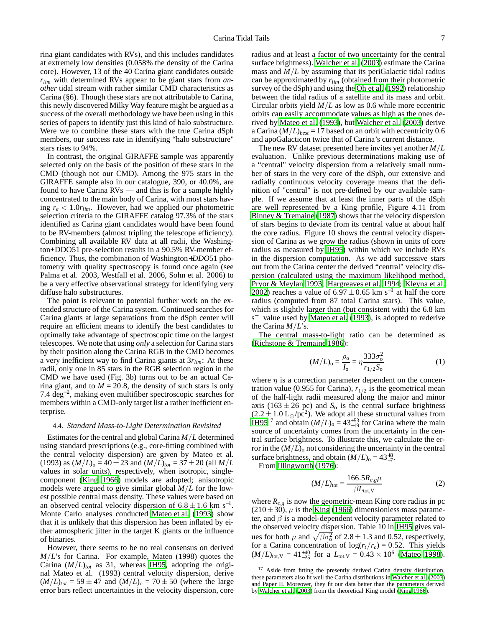rina giant candidates with RVs), and this includes candidates at extremely low densities (0.058% the density of the Carina core). However, 13 of the 40 Carina giant candidates outside *rlim* with determined RVs appear to be giant stars from *another* tidal stream with rather similar CMD characteristics as Carina (§6). Though these stars are not attributable to Carina, this newly discovered Milky Way feature might be argued as a success of the overall methodology we have been using in this series of papers to identify just this kind of halo substructure. Were we to combine these stars with the true Carina dSph members, our success rate in identifying "halo substructure" stars rises to 94%.

In contrast, the original GIRAFFE sample was apparently selected only on the basis of the position of these stars in the CMD (though not our CMD). Among the 975 stars in the GIRAFFE sample also in our catalogue, 390, or 40.0%, are found to have Carina RVs — and this is for a sample highly concentrated to the main body of Carina, with most stars having *r<sup>e</sup>* < 1.0*rlim*. However, had we applied our photometric selection criteria to the GIRAFFE catalog 97.3% of the stars identified as Carina giant candidates would have been found to be RV-members (almost tripling the telescope efficiency). Combining all available RV data at all radii, the Washington+DDO51 pre-selection results in a 90.5% RV-member efficiency. Thus, the combination of Washington+*DDO*51 photometry with quality spectroscopy is found once again (see Palma et al. 2003, Westfall et al. 2006, Sohn et al. 2006) to be a very effective observational strategy for identifying very diffuse halo substructures.

The point is relevant to potential further work on the extended structure of the Carina system. Continued searches for Carina giants at large separations from the dSph center will require an efficient means to identify the best candidates to optimally take advantage of spectroscopic time on the largest telescopes. We note that using *only* a selection for Carina stars by their position along the Carina RGB in the CMD becomes a very inefficient way to find Carina giants at 3*rlim*: At these radii, only one in 85 stars in the RGB selection region in the CMD we have used (Fig. 3b) turns out to be an actual Carina giant, and to  $M = 20.8$ , the density of such stars is only 7.4 deg−<sup>2</sup> , making even multifiber spectroscopic searches for members within a CMD-only target list a rather inefficient enterprise.

#### 4.4. *Standard Mass-to-Light Determination Revisited*

Estimates for the central and global Carina *M*/*L* determined using standard prescriptions (e.g., core-fitting combined with the central velocity dispersion) are given by Mateo et al.  $(1993)$  as  $(M/L)_{0} = 40 \pm 23$  and  $(M/L)_{tot} = 37 \pm 20$  (all  $M/L$ values in solar units), respectively, when isotropic, singlecomponent [\(King 1966](#page-15-11)) models are adopted; anisotropic models were argued to give similar global *M*/*L* for the lowest possible central mass density. These values were based on an observed central velocity dispersion of  $6.8 \pm 1.6$  km s<sup>-1</sup>. Monte Carlo analyses conducted [Mateo et al.](#page-16-11) [\(1993\)](#page-16-11) show that it is unlikely that this dispersion has been inflated by either atmospheric jitter in the target K giants or the influence of binaries.

However, there seems to be no real consensus on derived *M*/*L*'s for Carina. For example, Mateo (1998) quotes the Carina  $(M/L)_{tot}$  as 31, whereas [IH95](#page-15-0), adopting the original Mateo et al. (1993) central velocity dispersion, derive  $(M/L)_{tot} = 59 \pm 47$  and  $(M/L)_{o} = 70 \pm 50$  (where the large error bars reflect uncertainties in the velocity dispersion, core

radius and at least a factor of two uncertainty for the central surface brightness). [Walcher et al. \(2003](#page-16-1)) estimate the Carina mass and  $M/L$  by assuming that its periGalactic tidal radius can be approximated by *rlim* (obtained from their photometric survey of the dSph) and using the [Oh et al.](#page-16-19) [\(1992\)](#page-16-19) relationship between the tidal radius of a satellite and its mass and orbit. Circular orbits yield *M*/*L* as low as 0.6 while more eccentric orbits can easily accommodate values as high as the ones derived by [Mateo et al.](#page-16-11) [\(1993\)](#page-16-11), but [Walcher et al. \(2003\)](#page-16-1) derive a Carina  $(M/L)_{best}$  = 17 based on an orbit with eccentricity 0.6 and apoGalacticon twice that of Carina's current distance.

The new RV dataset presented here invites yet another *M*/*L* evaluation. Unlike previous determinations making use of a "central" velocity dispersion from a relatively small number of stars in the very core of the dSph, our extensive and radially continuous velocity coverage means that the definition of "central" is not pre-defined by our available sample. If we assume that at least the inner parts of the dSph are well represented by a King profile, Figure 4.11 from [Binney & Tremaine \(1987\)](#page-15-12) shows that the velocity dispersion of stars begins to deviate from its central value at about half the core radius. Figure 10 shows the central velocity dispersion of Carina as we grow the radius (shown in units of core radius as measured by [IH95](#page-15-0)) within which we include RVs in the dispersion computation. As we add successive stars out from the Carina center the derived "central" velocity dispersion (calculated using the maximum likelihood method, [Pryor & Meylan 1993;](#page-16-20) [Hargreaves et al. 1994](#page-15-13); [Kleyna et al.](#page-15-14) [2002\)](#page-15-14) reaches a value of  $6.97 \pm 0.65$  km s<sup>-1</sup> at half the core radius (computed from 87 total Carina stars). This value, which is slightly larger than (but consistent with) the 6.8 km s<sup>-1</sup> value used by [Mateo et al. \(1993](#page-16-11)), is adopted to rederive the Carina *M*/*L*'s.

The central mass-to-light ratio can be determined as [\(Richstone & Tremaine 1986\)](#page-16-21):

$$
(M/L)_{o} = \frac{\rho_{o}}{I_{o}} = \eta \frac{333 \sigma_{o}^{2}}{r_{1/2} S_{o}}
$$
 (1)

where  $\eta$  is a correction parameter dependent on the concentration value (0.955 for Carina),  $r_{1/2}$  is the geometrical mean of the half-light radii measured along the major and minor axis (163  $\pm$  26 pc) and *S*<sub>o</sub> is the central surface brightness  $(2.2 \pm 1.0 \text{ L}_{\odot}/\text{pc}^2)$ . We adopt all these structural values from [IH95](#page-15-0)<sup>17</sup> and obtain  $(M/L)$ <sub>0</sub> = 43<sup>+53</sup><sub>-19</sub> for Carina where the main source of uncertainty comes from the uncertainty in the central surface brightness. To illustrate this, we calculate the error in the  $(M/L)$ <sup>o</sup> not considering the uncertainty in the central surface brightness, and obtain  $(M/L)_{0} = 43^{+8}_{-7}$ .

From [Illingworth \(1976](#page-15-15)):

$$
(M/L)_{\text{tot}} = \frac{166.5 R_{c,g} \mu}{\beta L_{\text{tot,V}}}
$$
 (2)

where  $R_{c,g}$  is now the geometric-mean King core radius in pc  $(210 \pm 30)$ ,  $\mu$  is the [King \(1966\)](#page-15-11) dimensionless mass parameter, and  $\beta$  is a model-dependent velocity parameter related to the observed velocity dispersion. Table 10 in [IH95](#page-15-0) gives values for both  $\mu$  and  $\sqrt{\beta \sigma_0^2}$  of 2.8  $\pm$  1.3 and 0.52, respectively, for a Carina concentration of  $log(r_t/r_c) = 0.52$ . This yields  $(M/L)_{\text{tot,V}} = 41^{+40}_{-25}$  for a  $L_{\text{tot,V}} = 0.43 \times 10^6$  [\(Mateo 1998](#page-16-22)).

<sup>&</sup>lt;sup>17</sup> Aside from fitting the presently derived Carina density distribution, these parameters also fit well the Carina distributions in [Walcher et al. \(2003](#page-16-1)) and Paper II. Moreover, they fit our data better than the parameters derived by [Walcher et al. \(2003](#page-16-1)) from the theoretical King model [\(King 1966\)](#page-15-11).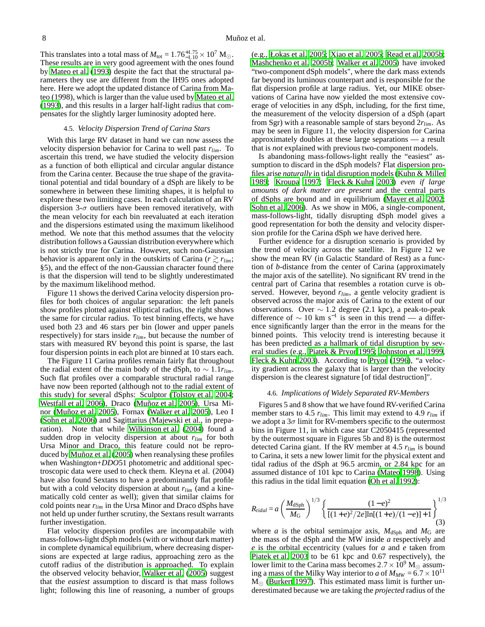This translates into a total mass of  $M_{\text{tot}} = 1.76^{+1.75}_{-1.10} \times 10^7 \text{ M}_{\odot}$ . These results are in very good agreement with the ones found by [Mateo et al.](#page-16-11) [\(1993\)](#page-16-11) despite the fact that the structural parameters they use are different from the IH95 ones adopted here. Here we adopt the updated distance of Carina from Mateo (1998), which is larger than the value used by [Mateo et al.](#page-16-11) [\(1993](#page-16-11)), and this results in a larger half-light radius that compensates for the slightly larger luminosity adopted here.

#### 4.5. *Velocity Dispersion Trend of Carina Stars*

With this large RV dataset in hand we can now assess the velocity dispersion behavior for Carina to well past *rlim*. To ascertain this trend, we have studied the velocity dispersion as a function of both elliptical and circular angular distance from the Carina center. Because the true shape of the gravitational potential and tidal boundary of a dSph are likely to be somewhere in between these limiting shapes, it is helpful to explore these two limiting cases. In each calculation of an RV dispersion 3- $\sigma$  outliers have been removed iteratively, with the mean velocity for each bin reevaluated at each iteration and the dispersions estimated using the maximum likelihood method. We note that this method assumes that the velocity distribution follows a Gaussian distribution everywhere which is not strictly true for Carina. However, such non-Gaussian behavior is apparent only in the outskirts of Carina ( $r \ge r_{lim}$ ; §5), and the effect of the non-Gaussian character found there is that the dispersion will tend to be slightly underestimated by the maximum likelihood method.

Figure 11 shows the derived Carina velocity dispersion profiles for both choices of angular separation: the left panels show profiles plotted against elliptical radius, the right shows the same for circular radius. To test binning effects, we have used both 23 and 46 stars per bin (lower and upper panels respectively) for stars inside *rlim*, but because the number of stars with measured RV beyond this point is sparse, the last four dispersion points in each plot are binned at 10 stars each.

The Figure 11 Carina profiles remain fairly flat throughout the radial extent of the main body of the dSph, to ∼ 1.1*rlim*. Such flat profiles over a comparable structural radial range have now been reported (although not to the radial extent of this study) for several dSphs: Sculptor [\(Tolstoy et al. 2004;](#page-16-23) [Westfall et al. 2006\)](#page-16-5), Draco [\(Muñoz et al. 2005\)](#page-16-4), Ursa Minor [\(Muñoz et al. 2005\)](#page-16-4), Fornax [\(Walker et al. 2005](#page-16-6)), Leo I [\(Sohn et al. 2006\)](#page-16-7) and Sagittarius (Majewski et al., in preparation). Note that while [Wilkinson et al. \(2004\)](#page-16-24) found a sudden drop in velocity dispersion at about *rlim* for both Ursa Minor and Draco, this feature could not be reproduced by [Muñoz et al.](#page-16-4) [\(2005\)](#page-16-4) when reanalysing these profiles when Washington+*DDO*51 photometric and additional spectroscopic data were used to check them. Kleyna et al. (2004) have also found Sextans to have a predominantly flat profile but with a cold velocity dispersion at about *rlim* (and a kinematically cold center as well); given that similar claims for cold points near *rlim* in the Ursa Minor and Draco dSphs have not held up under further scrutiny, the Sextans result warrants further investigation.

Flat velocity dispersion profiles are incompatabile with mass-follows-light dSph models (with or without dark matter) in complete dynamical equilibrium, where decreasing dispersions are expected at large radius, approaching zero as the cutoff radius of the distribution is approached. To explain the observed velocity behavior, [Walker et al.](#page-16-6) [\(2005\)](#page-16-6) suggest that the *easiest* assumption to discard is that mass follows light; following this line of reasoning, a number of groups

(e.g., [Łokas et al. 2005;](#page-15-16) [Xiao et al. 2005](#page-16-25); [Read et al. 2005b](#page-16-26); [Mashchenko et al. 2005b](#page-16-27); [Walker et al. 2005\)](#page-16-6) have invoked "two-component dSph models", where the dark mass extends far beyond its luminous counterpart and is responsible for the flat dispersion profile at large radius. Yet, our MIKE observations of Carina have now yielded the most extensive coverage of velocities in any dSph, including, for the first time, the measurement of the velocity dispersion of a dSph (apart from Sgr) with a reasonable sample of stars beyond 2*rlim*. As may be seen in Figure 11, the velocity dispersion for Carina approximately doubles at these large separations — a result that is *not* explained with previous two-component models.

Is abandoning mass-follows-light really the "easiest" assumption to discard in the dSph models? Flat dispersion profiles arise *naturally* in tidal disruption models [\(Kuhn & Miller](#page-15-17) [1989;](#page-15-17) [Kroupa 1997;](#page-15-18) [Fleck & Kuhn 2003\)](#page-15-19) *even if large amounts of dark matter are present* and the central parts of dSphs are bound and in equilibrium [\(Mayer et al. 2002](#page-16-8); [Sohn et al. 2006\)](#page-16-7). As we show in M06, a single-component, mass-follows-light, tidally disrupting dSph model gives a good representation for both the density and velocity dispersion profile for the Carina dSph we have derived here.

Further evidence for a disruption scenario is provided by the trend of velocity across the satellite. In Figure 12 we show the mean RV (in Galactic Standard of Rest) as a function of *b*-distance from the center of Carina (approximately the major axis of the satellite). No significant RV trend in the central part of Carina that resembles a rotation curve is observed. However, beyond *rlim*, a gentle velocity gradient is observed across the major axis of Carina to the extent of our observations. Over  $\sim 1.2$  degree (2.1 kpc), a peak-to-peak difference of  $\sim 10$  km s<sup>-1</sup> is seen in this trend — a difference significantly larger than the error in the means for the binned points. This velocity trend is interesting because it has been predicted as a hallmark of tidal disruption by several studies (e.g., [Piatek & Pryor 1995;](#page-16-18) [Johnston et al. 1999,](#page-15-5) [Fleck & Kuhn 2003\)](#page-15-19). According to [Pryor \(1996\)](#page-16-28), "a velocity gradient across the galaxy that is larger than the velocity dispersion is the clearest signature [of tidal destruction]".

#### 4.6. *Implications of Widely Separated RV-Members*

Figures 5 and 8 show that we have found RV-verified Carina member stars to 4.5 *rlim*. This limit may extend to 4.9 *rlim* if we adopt a  $3\sigma$  limit for RV-members specific to the outermost bins in Figure 11, in which case star C2050415 (represented by the outermost square in Figures 5b and 8) is the outermost detected Carina giant. If the RV member at 4.5 *rlim* is bound to Carina, it sets a new lower limit for the physical extent and tidal radius of the dSph at 96.5 arcmin, or 2.84 kpc for an assumed distance of 101 kpc to Carina [\(Mateo 1998](#page-16-22)). Using this radius in the tidal limit equation [\(Oh et al. 1992\)](#page-16-19):

$$
R_{tidal} = a \left(\frac{M_{\text{dSph}}}{M_{\text{G}}}\right)^{1/3} \left\{\frac{(1-e)^2}{[(1+e)^2/2e]\ln[(1+e)/(1-e)]+1}\right\}^{1/3}
$$
(3)

where *a* is the orbital semimajor axis,  $M_{dSph}$  and  $M_G$  are the mass of the dSph and the MW inside *a* respectively and *e* is the orbital eccentricity (values for *a* and *e* taken from [Piatek et al. 2003](#page-16-29) to be 61 kpc and 0.67 respectively), the lower limit to the Carina mass becomes  $2.7 \times 10^9$  M<sub>☉</sub> assuming a mass of the Milky Way interior to *a* of  $M_{MW} = 6.7 \times 10^{11}$  $M_{\odot}$  [\(Burkert 1997\)](#page-15-20). This estimated mass limit is further underestimated because we are taking the *projected* radius of the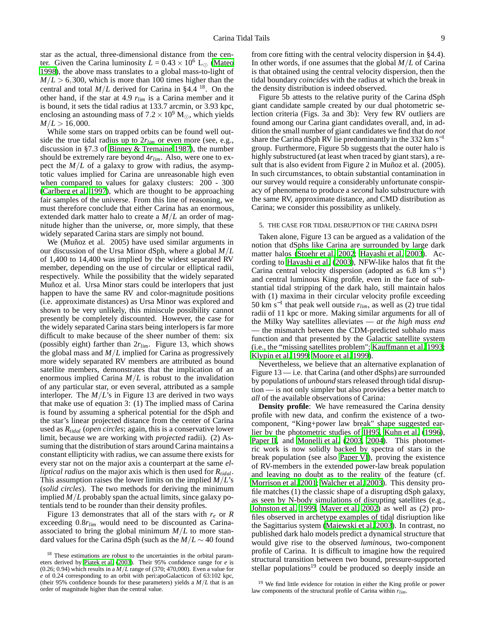star as the actual, three-dimensional distance from the center. Given the Carina luminosity  $L = 0.43 \times 10^6$  L<sub>o</sub> [\(Mateo](#page-16-22) [1998\)](#page-16-22), the above mass translates to a global mass-to-light of  $M/L > 6,300$ , which is more than 100 times higher than the central and total  $M/L$  derived for Carina in §4.4 <sup>18</sup>. On the other hand, if the star at 4.9  $r_{lim}$  is a Carina member and it is bound, it sets the tidal radius at 133.7 arcmin, or 3.93 kpc, enclosing an astounding mass of  $7.2 \times 10^9$  M<sub>☉</sub>, which yields  $M/L > 16,000$ .

While some stars on trapped orbits can be found well outside the true tidal radius up to 2*rlim* or even more (see, e.g., discussion in §7.3 of [Binney & Tremaine 1987\)](#page-15-12), the number should be extremely rare beyond 4*rlim*. Also, were one to expect the  $M/L$  of a galaxy to grow with radius, the asymptotic values implied for Carina are unreasonable high even when compared to values for galaxy clusters: 200 - 300 [\(Carlberg et al. 1997](#page-15-21)), which are thought to be approaching fair samples of the universe. From this line of reasoning, we must therefore conclude that either Carina has an enormous, extended dark matter halo to create a *M*/*L* an order of magnitude higher than the universe, or, more simply, that these widely separated Carina stars are simply not bound.

We (Muñoz et al. 2005) have used similar arguments in our discussion of the Ursa Minor dSph, where a global *M*/*L* of 1,400 to 14,400 was implied by the widest separated RV member, depending on the use of circular or elliptical radii, respectively. While the possibility that the widely separated Muñoz et al. Ursa Minor stars could be interlopers that just happen to have the same RV and color-magnitude positions (i.e. approximate distances) as Ursa Minor was explored and shown to be very unlikely, this miniscule possibility cannot presently be completely discounted. However, the case for the widely separated Carina stars being interlopers is far more difficult to make because of the sheer number of them: six (possibly eight) farther than 2*rlim*. Figure 13, which shows the global mass and *M*/*L* implied for Carina as progressively more widely separated RV members are attributed as bound satellite members, demonstrates that the implication of an enormous implied Carina *M*/*L* is robust to the invalidation of any particular star, or even several, attributed as a sample interloper. The *M*/*L*'s in Figure 13 are derived in two ways that make use of equation 3: (1) The implied mass of Carina is found by assuming a spherical potential for the dSph and the star's linear projected distance from the center of Carina used as *Rtidal* (*open circles*; again, this is a conservative lower limit, because we are working with *projected* radii). (2) Assuming that the distribution of stars around Carina maintains a constant ellipticity with radius, we can assume there exists for every star not on the major axis a counterpart at the same *elliptical radius* on the major axis which is then used for *Rtidal*. This assumption raises the lower limits on the implied *M*/*L*'s (*solid circles*). The two methods for deriving the minimum implied *M*/*L* probably span the actual limits, since galaxy potentials tend to be rounder than their density profiles.

Figure 13 demonstrates that all of the stars with  $r_e$  or  $R$ exceeding 0.8*rlim* would need to be discounted as Carinaassociated to bring the global minimum  $M/L$  to more standard values for the Carina dSph (such as the  $M/L \sim 40$  found

from core fitting with the central velocity dispersion in §4.4). In other words, if one assumes that the global *M*/*L* of Carina is that obtained using the central velocity dispersion, then the tidal boundary *coincides* with the radius at which the break in the density distribution is indeed observed.

Figure 5b attests to the relative purity of the Carina dSph giant candidate sample created by our dual photometric selection criteria (Figs. 3a and 3b): Very few RV outliers are found among our Carina giant candidates overall, and, in addition the small number of giant candidates we find that do *not* share the Carina dSph RV lie predominantly in the 332 km s<sup>-1</sup> group. Furthermore, Figure 5b suggests that the outer halo is highly substructured (at least when traced by giant stars), a result that is also evident from Figure 2 in Muñoz et al. (2005). In such circumstances, to obtain substantial contamination in our survey would require a considerably unfortunate conspiracy of phenomena to produce a *second* halo substructure with the same RV, approximate distance, and CMD distribution as Carina; we consider this possibility as unlikely.

#### 5. THE CASE FOR TIDAL DISRUPTION OF THE CARINA DSPH

Taken alone, Figure 13 can be argued as a validation of the notion that dSphs like Carina are surrounded by large dark matter halos [\(Stoehr et al. 2002;](#page-16-30) [Hayashi et al. 2003\)](#page-15-22). According to [Hayashi et al. \(2003\)](#page-15-22), NFW-like halos that fit the Carina central velocity dispersion (adopted as  $6.8 \text{ km s}^{-1}$ ) and central luminous King profile, even in the face of substantial tidal stripping of the dark halo, still maintain halos with (1) maxima in their circular velocity profile exceeding 50 km s−<sup>1</sup> that peak well outside *rlim*, as well as (2) true tidal radii of 11 kpc or more. Making similar arguments for all of the Milky Way satellites alleviates — *at the high mass end* — the mismatch between the CDM-predicted subhalo mass function and that presented by the Galactic satellite system (i.e., the "missing satellites problem"; [Kauffmann et al. 1993](#page-15-23); [Klypin et al. 1999;](#page-15-24) [Moore et al. 1999\)](#page-16-31).

Nevertheless, we believe that an alternative explanation of Figure 13 — i.e. that Carina (and other dSphs) are surrounded by populations of *unbound* stars released through tidal disruption — is not only simpler but also provides a better match to *all* of the available observations of Carina:

**Density profile**: We have remeasured the Carina density profile with new data, and confirm the existence of a twocomponent, "King+power law break" shape suggested earlier by the photometric studies of [IH95](#page-15-0), [Kuhn et al. \(1996](#page-15-1)), [Paper II](#page-15-2), and [Monelli et al. \(2003,](#page-16-14) [2004\)](#page-16-2). This photometric work is now solidly backed by spectra of stars in the break population (see also [Paper VI\)](#page-16-3), proving the existence of RV-members in the extended power-law break population and leaving no doubt as to the reality of the feature (cf. [Morrison et al. 2001;](#page-16-0) [Walcher et al. 2003\)](#page-16-1). This density profile matches (1) the classic shape of a disrupting dSph galaxy, as seen by N-body simulations of disrupting satellites (e.g., [Johnston et al. 1999,](#page-15-5) [Mayer et al. 2002](#page-16-8)) as well as (2) profiles observed in archetype examples of tidal disriuption like the Sagittarius system [\(Majewski et al. 2003\)](#page-15-25). In contrast, no published dark halo models predict a dynamical structure that would give rise to the observed *luminous*, two-component profile of Carina. It is difficult to imagine how the required structural transition between two bound, pressure-supported stellar populations<sup>19</sup> could be produced so deeply inside an

<sup>&</sup>lt;sup>18</sup> These estimations are robust to the uncertainties in the orbital parameters derived by [Piatek et al. \(2003](#page-16-29)). Their 95% confidence range for *e* is (0.26; 0.94) which results in a  $M/L$  range of (370; 470,000). Even a value for *e* of 0.24 corresponding to an orbit with peri:apoGalacticon of 63:102 kpc, (their 95% confidence bounds for these parameters) yields a *M*/*L* that is an order of magnitude higher than the central value.

<sup>&</sup>lt;sup>19</sup> We find little evidence for rotation in either the King profile or power law components of the structural profile of Carina within *rlim*.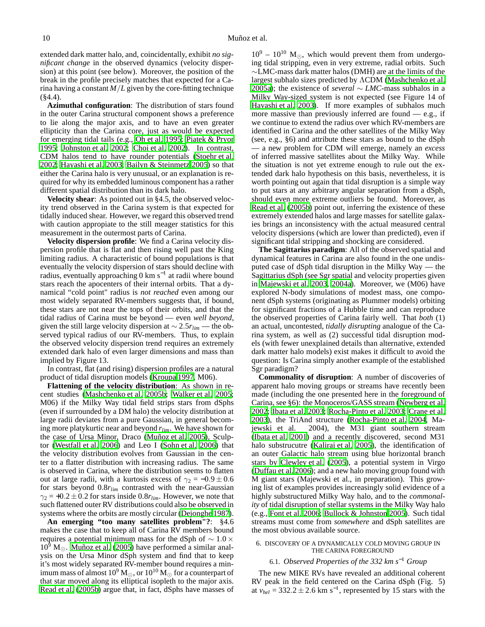extended dark matter halo, and, coincidentally, exhibit *no significant change* in the observed dynamics (velocity dispersion) at this point (see below). Moreover, the position of the break in the profile precisely matches that expected for a Carina having a constant  $M/L$  given by the core-fitting technique  $(\$4.4)$ .

**Azimuthal configuration**: The distribution of stars found in the outer Carina structural component shows a preference to lie along the major axis, and to have an even greater ellipticity than the Carina core, just as would be expected for emerging tidal tails (e.g., [Oh et al. 1995;](#page-16-17) [Piatek & Pryor](#page-16-18) [1995;](#page-16-18) [Johnston et al. 2002;](#page-15-6) [Choi et al. 2002\)](#page-15-10). In contrast, CDM halos tend to have rounder potentials [\(Stoehr et al.](#page-16-30) [2002;](#page-16-30) [Hayashi et al. 2003](#page-15-22); [Bailyn & Steinmetz 2005](#page-15-26)) so that either the Carina halo is very unusual, or an explanation is required for why its embedded luminous component has a rather different spatial distribution than its dark halo.

**Velocity shear**: As pointed out in §4.5, the observed velocity trend observed in the Carina system is that expected for tidally induced shear. However, we regard this observed trend with caution appropiate to the still meager statistics for this measurement in the outermost parts of Carina.

**Velocity dispersion profile**: We find a Carina velocity dispersion profile that is flat and then rising well past the King limiting radius. A characteristic of bound populations is that eventually the velocity dispersion of stars should decline with radius, eventually approaching 0 km s<sup>-1</sup> at radii where bound stars reach the apocenters of their internal orbits. That a dynamical "cold point" radius is *not reached* even among our most widely separated RV-members suggests that, if bound, these stars are not near the tops of their orbits, and that the tidal radius of Carina must be beyond — even *well beyond*, given the still large velocity dispersion at ∼ 2.5*rlim* — the observed typical radius of our RV-members. Thus, to explain the observed velocity dispersion trend requires an extremely extended dark halo of even larger dimensions and mass than implied by Figure 13.

In contrast, flat (and rising) dispersion profiles are a natural product of tidal disruption models [\(Kroupa 1997,](#page-15-18) M06).

**Flattening of the velocity distribution**: As shown in recent studies [\(Mashchenko et al. 2005b;](#page-16-27) [Walker et al. 2005;](#page-16-6) M06) if the Milky Way tidal field strips stars from dSphs (even if surrounded by a DM halo) the velocity distribution at large radii deviates from a pure Gaussian, in general becoming more platykurtic near and beyond *rlim*. We have shown for the case of Ursa Minor, Draco [\(Muñoz et al. 2005](#page-16-4)), Sculptor [\(Westfall et al. 2006\)](#page-16-5) and Leo I [\(Sohn et al. 2006\)](#page-16-7) that the velocity distribution evolves from Gaussian in the center to a flatter distribution with increasing radius. The same is observed in Carina, where the distribution seems to flatten out at large radii, with a kurtosis excess of  $\gamma_2 = -0.9 \pm 0.6$ for stars beyond 0.8*rlim* contrasted with the near-Gaussian  $\gamma_2 = +0.2 \pm 0.2$  for stars inside 0.8 $r_{lim}$ . However, we note that such flattened outer RV distributions could also be observed in systems where the orbits are mostly circular [\(Dejonghe 1987\)](#page-15-27).

**An emerging "too many satellites problem"?**: §4.6 makes the case that to keep all of Carina RV members bound requires a potential minimum mass for the dSph of  $\sim 1.0 \times$  $10^9$  M<sub> $\odot$ </sub>. [Muñoz et al. \(2005\)](#page-16-4) have performed a similar analysis on the Ursa Minor dSph system and find that to keep it's most widely separated RV-member bound requires a minimum mass of almost  $10^9$  M<sub>☉</sub>, or  $10^{10}$  M<sub>☉</sub> for a counterpart of that star moved along its elliptical isopleth to the major axis. [Read et al. \(2005b\)](#page-16-26) argue that, in fact, dSphs have masses of

 $10^9 - 10^{10}$  M<sub> $\odot$ </sub>, which would prevent them from undergoing tidal stripping, even in very extreme, radial orbits. Such ∼LMC-mass dark matter halos (DMH) are at the limits of the largest subhalo sizes predicted by ΛCDM [\(Mashchenko et al.](#page-16-32) [2005a\)](#page-16-32); the existence of *several* ∼ *LMC*-mass subhalos in a Milky Way-sized system is not expected (see Figure 14 of [Hayashi et al. 2003\)](#page-15-22). If more examples of subhalos much more massive than previously inferred are found  $-$  e.g., if we continue to extend the radius over which RV-members are identified in Carina and the other satellites of the Milky Way (see, e.g., §6) and attribute these stars as bound to the dSph — a new problem for CDM will emerge, namely an *excess* of inferred massive satellites about the Milky Way. While the situation is not yet extreme enough to rule out the extended dark halo hypothesis on this basis, nevertheless, it is worth pointing out again that tidal disruption is a simple way to put stars at any arbitrary angular separation from a dSph, should even more extreme outliers be found. Moreover, as [Read et al. \(2005b\)](#page-16-26) point out, inferring the existence of these extremely extended halos and large masses for satellite galaxies brings an inconsistency with the actual measured central velocity dispersions (which are lower than predicted), even if significant tidal stripping and shocking are considered.

**The Sagittarius paradigm**: All of the observed spatial and dynamical features in Carina are also found in the one undisputed case of dSph tidal disruption in the Milky Way — the Sagittarius dSph (see Sgr spatial and velocity properties given in [Majewski et al. 2003](#page-15-25), [2004a\)](#page-15-7). Moreover, we (M06) have explored N-body simulations of modest mass, one component dSph systems (originating as Plummer models) orbiting for significant fractions of a Hubble time and can reproduce the observed properties of Carina fairly well. That *both* (1) an actual, uncontested, *tidally disrupting* analogue of the Carina system, as well as (2) successful tidal disruption models (with fewer unexplained details than alternative, extended dark matter halo models) exist makes it difficult to avoid the question: Is Carina simply another example of the established Sgr paradigm?

**Commonality of disruption**: A number of discoveries of apparent halo moving groups or streams have recently been made (including the one presented here in the foreground of Carina, see §6): the Monoceros/GASS stream [\(Newberg et al.](#page-16-33) [2002;](#page-16-33) [Ibata et al. 2003;](#page-15-28) [Rocha-Pinto et al. 2003;](#page-16-34) [Crane et al.](#page-15-29) [2003\)](#page-15-29), the TriAnd structure [\(Rocha-Pinto et al. 2004,](#page-16-35) Majewski et al. 2004), the M31 giant southern stream [\(Ibata et al. 2001](#page-15-30)) and a recently discovered, second M31 halo substrucutre [\(Kalirai et al. 2005\)](#page-15-31), the identification of an outer Galactic halo stream using blue horizontal branch stars by [Clewley et al. \(2005\)](#page-15-32), a potential system in Virgo [\(Duffau et al. 2006\)](#page-15-33); and a new halo moving group found with M giant stars (Majewski et al., in preparation). This growing list of examples provides increasingly solid evidence of a highly substructured Milky Way halo, and to the *commonality* of tidal disruption of stellar systems in the Milky Way halo (e.g., [Font et al. 2006;](#page-15-34) [Bullock & Johnston 2005\)](#page-15-35). Such tidal streams must come from *somewhere* and dSph satellites are the most obvious available source.

#### 6. DISCOVERY OF A DYNAMICALLY COLD MOVING GROUP IN THE CARINA FOREGROUND

#### 6.1. *Observed Properties of the 332 km s*<sup>−</sup><sup>1</sup> *Group*

The new MIKE RVs have revealed an additional coherent RV peak in the field centered on the Carina dSph (Fig. 5) at  $v_{hel} = 332.2 \pm 2.6$  km s<sup>-1</sup>, represented by 15 stars with the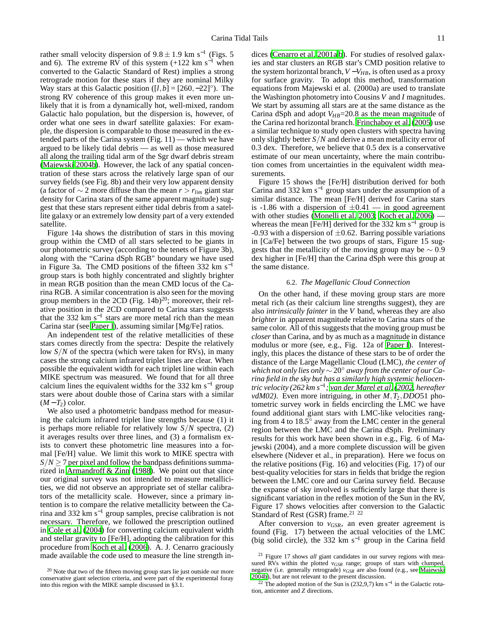rather small velocity dispersion of  $9.8 \pm 1.9$  km s<sup>-1</sup> (Figs. 5) and 6). The extreme RV of this system  $(+122 \text{ km s}^{-1}$  when converted to the Galactic Standard of Rest) implies a strong retrograde motion for these stars if they are nominal Milky Way stars at this Galactic position  $([l, b] = [260, -22]^\circ)$ . The strong RV coherence of this group makes it even more unlikely that it is from a dynamically hot, well-mixed, random Galactic halo population, but the dispersion is, however, of order what one sees in dwarf satellite galaxies: For example, the dispersion is comparable to those measured in the extended parts of the Carina system (Fig. 11) — which we have argued to be likely tidal debris — as well as those measured all along the trailing tidal arm of the Sgr dwarf debris stream [\(Majewski 2004b\)](#page-15-36). However, the lack of any spatial concentration of these stars across the relatively large span of our survey fields (see Fig. 8b) and their very low apparent density (a factor of  $\sim$  2 more diffuse than the mean *r* >  $r_{lim}$  giant star density for Carina stars of the same apparent magnitude) suggest that these stars represent either tidal debris from a satellite galaxy or an extremely low density part of a very extended satellite.

Figure 14a shows the distribution of stars in this moving group within the CMD of all stars selected to be giants in our photometric survey (according to the tenets of Figure 3b), along with the "Carina dSph RGB" boundary we have used in Figure 3a. The CMD positions of the fifteen 332 km s<sup>-1</sup> group stars is both highly concentrated and slightly brighter in mean RGB position than the mean CMD locus of the Carina RGB. A similar concentration is also seen for the moving group members in the 2CD (Fig.  $14b)^{20}$ ; moreover, their relative position in the 2CD compared to Carina stars suggests that the 332 km s−<sup>1</sup> stars are more metal rich than the mean Carina star (see [Paper I\)](#page-15-3), assuming similar [Mg/Fe] ratios.

An independent test of the relative metallicities of these stars comes directly from the spectra: Despite the relatively low *S*/*N* of the spectra (which were taken for RVs), in many cases the strong calcium infrared triplet lines are clear. When possible the equivalent width for each triplet line within each MIKE spectrum was measured. We found that for all three calcium lines the equivalent widths for the 332 km s<sup>-1</sup> group stars were about double those of Carina stars with a similar  $(M-T_2)$  color.

We also used a photometric bandpass method for measuring the calcium infrared triplet line strengths because (1) it is perhaps more reliable for relatively low *S*/*N* spectra, (2) it averages results over three lines, and (3) a formalism exists to convert these photometric line measures into a formal [Fe/H] value. We limit this work to MIKE spectra with  $S/N \ge 7$  per pixel and follow the bandpass definitions summarized in [Armandroff & Zinn \(1988\)](#page-15-37). We point out that since our original survey was not intended to measure metallicities, we did not observe an appropriate set of stellar calibrators of the metallicity scale. However, since a primary intention is to compare the relative metallicity between the Carina and 332 km s<sup>−</sup><sup>1</sup> group samples, precise calibration is not necessary. Therefore, we followed the prescription outlined in [Cole et al. \(2004\)](#page-15-38) for converting calcium equivalent width and stellar gravity to [Fe/H], adopting the calibration for this procedure from [Koch et al.](#page-15-39) [\(2006\)](#page-15-39). A. J. Cenarro graciously made available the code used to measure the line strength in-

dices [\(Cenarro et al. 2001a](#page-15-40)[,b\)](#page-15-41). For studies of resolved galaxies and star clusters an RGB star's CMD position relative to the system horizontal branch,  $V - V_{HB}$ , is often used as a proxy for surface gravity. To adopt this method, transformation equations from Majewski et al. (2000a) are used to translate the Washington photometry into Cousins *V* and *I* magnitudes. We start by assuming all stars are at the same distance as the Carina dSph and adopt  $V_{HB}$ =20.8 as the mean magnitude of the Carina red horizontal branch. [Frinchaboy et al. \(2005](#page-15-42)) use a similar technique to study open clusters with spectra having only slightly better *S*/*N* and derive a mean metallicity error of 0.3 dex. Therefore, we believe that 0.5 dex is a conservative estimate of our mean uncertainty, where the main contribution comes from uncertainties in the equivalent width measurements.

Figure 15 shows the [Fe/H] distribution derived for both Carina and 332 km s<sup>-1</sup> group stars under the assumption of a similar distance. The mean [Fe/H] derived for Carina stars is -1.86 with a dispersion of  $\pm 0.41$  — in good agreement with other studies [\(Monelli et al. 2003;](#page-16-14) [Koch et al. 2006\)](#page-15-39) whereas the mean [Fe/H] derived for the 332 km s<sup>-1</sup> group is -0.93 with a dispersion of  $\pm$ 0.62. Barring possible variations in [Ca/Fe] between the two groups of stars, Figure 15 suggests that the metallicity of the moving group may be  $\sim 0.9$ dex higher in [Fe/H] than the Carina dSph were this group at the same distance.

#### 6.2. *The Magellanic Cloud Connection*

On the other hand, if these moving group stars are more metal rich (as their calcium line strengths suggest), they are also *intrinsically fainter* in the *V* band, whereas they are also *brighter* in apparent magnitude relative to Carina stars of the same color. All of this suggests that the moving group must be *closer* than Carina, and by as much as a magnitude in distance modulus or more (see, e.g., Fig. 12a of [Paper I](#page-15-3)). Interestingly, this places the distance of these stars to be of order the distance of the Large Magellanic Cloud (LMC), *the center of which not only lies only* ∼ 20◦ *away from the center of our Carina field in the sky but has a similarly high systemic heliocentric velocity (262 km s*<sup>−</sup><sup>1</sup> *; [van der Marel et al. \(2002,](#page-16-36) hereafter vdM02)*. Even more intriguing, in other *M*,*T*2,*DDO*51 photometric survey work in fields encircling the LMC we have found additional giant stars with LMC-like velocities ranging from 4 to  $18.5^\circ$  away from the LMC center in the general region between the LMC and the Carina dSph. Preliminary results for this work have been shown in e.g., Fig. 6 of Majewski (2004), and a more complete discussion will be given elsewhere (Nidever et al., in preparation). Here we focus on the relative positions (Fig. 16) and velocities (Fig. 17) of our best-quality velocities for stars in fields that bridge the region between the LMC core and our Carina survey field. Because the expanse of sky involved is sufficiently large that there is significant variation in the reflex motion of the Sun in the RV, Figure 17 shows velocities after conversion to the Galactic Standard of Rest (GSR) frame.<sup>21</sup> <sup>22</sup>

After conversion to  $v_{GSR}$ , an even greater agreement is found (Fig. 17) between the actual velocities of the LMC (big solid circle), the 332 km s<sup>-1</sup> group in the Carina field

 $20$  Note that two of the fifteen moving group stars lie just outside our more conservative giant selection criteria, and were part of the experimental foray into this region with the MIKE sample discussed in §3.1.

<sup>21</sup> Figure 17 shows *all* giant candidates in our survey regions with measured RVs within the plotted *vGSR* range; groups of stars with clumped, negative (i.e. generally retrograde) *vGSR* are also found (e.g., see [Majewski](#page-15-36) [2004b](#page-15-36)), but are not relevant to the present discussion.

<sup>&</sup>lt;sup>22</sup> The adopted motion of the Sun is (232,9,7) km s<sup>-1</sup> in the Galactic rotation, anticenter and *Z* directions.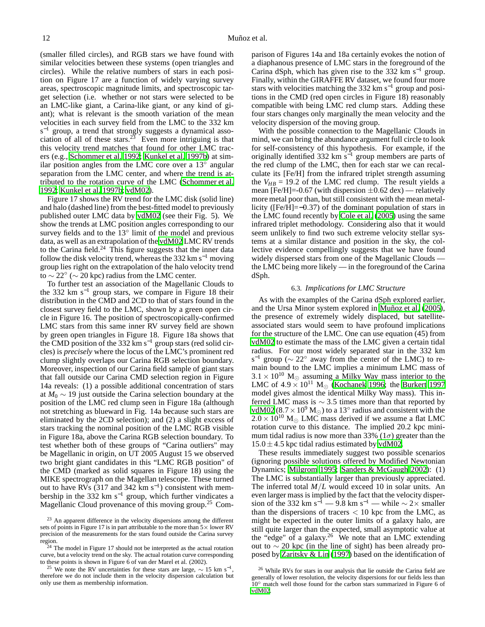(smaller filled circles), and RGB stars we have found with similar velocities between these systems (open triangles and circles). While the relative numbers of stars in each position on Figure 17 are a function of widely varying survey areas, spectroscopic magnitude limits, and spectroscopic target selection (i.e. whether or not stars were selected to be an LMC-like giant, a Carina-like giant, or any kind of giant); what is relevant is the smooth variation of the mean velocities in each survey field from the LMC to the 332 km s<sup>-1</sup> group, a trend that strongly suggests a dynamical association of all of these stars.<sup>23</sup> Even more intriguing is that this velocity trend matches that found for other LMC tracers (e.g., [Schommer et al. 1992;](#page-16-37) [Kunkel et al. 1997b](#page-15-43)) at similar position angles from the LMC core over a  $13^\circ$  angular separation from the LMC center, and where the trend is attributed to the rotation curve of the LMC [\(Schommer et al.](#page-16-37) [1992;](#page-16-37) [Kunkel et al. 1997b;](#page-15-43) [vdM02\)](#page-16-36).

Figure 17 shows the RV trend for the LMC disk (solid line) and halo (dashed line) from the best-fitted model to previously published outer LMC data by [vdM02](#page-16-36) (see their Fig. 5). We show the trends at LMC position angles corresponding to our survey fields and to the 13<sup>°</sup> limit of the model and previous data, as well as an extrapolation of the [vdM02](#page-16-36) LMC RV trends to the Carina field.<sup>24</sup> This figure suggests that the inner data follow the disk velocity trend, whereas the 332 km s<sup> $-1$ </sup> moving group lies right on the extrapolation of the halo velocity trend to  $\sim$  22° ( $\sim$  20 kpc) radius from the LMC center.

To further test an association of the Magellanic Clouds to the 332 km s−<sup>1</sup> group stars, we compare in Figure 18 their distribution in the CMD and 2CD to that of stars found in the closest survey field to the LMC, shown by a green open circle in Figure 16. The position of spectroscopically-confirmed LMC stars from this same inner RV survey field are shown by green open triangles in Figure 18. Figure 18a shows that the CMD position of the 332 km s−<sup>1</sup> group stars (red solid circles) is *precisely* where the locus of the LMC's prominent red clump slightly overlaps our Carina RGB selection boundary. Moreover, inspection of our Carina field sample of giant stars that fall outside our Carina CMD selection region in Figure 14a reveals: (1) a possible additional concentration of stars at *M*<sup>0</sup> ∼ 19 just outside the Carina selection boundary at the position of the LMC red clump seen in Figure 18a (although not stretching as blueward in Fig. 14a because such stars are eliminated by the 2CD selection); and (2) a slight excess of stars tracking the nominal position of the LMC RGB visible in Figure 18a, above the Carina RGB selection boundary. To test whether both of these groups of "Carina outliers" may be Magellanic in origin, on UT 2005 August 15 we observed two bright giant candidates in this "LMC RGB position" of the CMD (marked as solid squares in Figure 18) using the MIKE spectrograph on the Magellan telescope. These turned out to have RVs  $(317 \text{ and } 342 \text{ km s}^{-1})$  consistent with membership in the 332 km s<sup>−</sup><sup>1</sup> group, which further vindicates a Magellanic Cloud provenance of this moving group.<sup>25</sup> Com-

parison of Figures 14a and 18a certainly evokes the notion of a diaphanous presence of LMC stars in the foreground of the Carina dSph, which has given rise to the 332 km s−<sup>1</sup> group. Finally, within the GIRAFFE RV dataset, we found four more stars with velocities matching the 332 km s<sup> $-1$ </sup> group and positions in the CMD (red open circles in Figure 18) reasonably compatible with being LMC red clump stars. Adding these four stars changes only marginally the mean velocity and the velocity dispersion of the moving group.

With the possible connection to the Magellanic Clouds in mind, we can bring the abundance argument full circle to look for self-consistency of this hypothesis. For example, if the originally identified 332 km  $s^{-1}$  group members are parts of the red clump of the LMC, then for each star we can recalculate its [Fe/H] from the infrared triplet strength assuming the  $V_{HB}$  = 19.2 of the LMC red clump. The result yields a mean [Fe/H]=-0.67 (with dispersion  $\pm$ 0.62 dex) — relatively more metal poor than, but still consistent with the mean metallicity ([Fe/H]=−0.37) of the dominant population of stars in the LMC found recently by [Cole et al.](#page-15-44) [\(2005\)](#page-15-44) using the same infrared triplet methodology. Considering also that it would seem unlikely to find two such extreme velocity stellar systems at a similar distance and position in the sky, the collective evidence compellingly suggests that we have found widely dispersed stars from one of the Magellanic Clouds the LMC being more likely — in the foreground of the Carina dSph.

#### 6.3. *Implications for LMC Structure*

As with the examples of the Carina dSph explored earlier, and the Ursa Minor system explored in [Muñoz et al. \(2005](#page-16-4)), the presence of extremely widely displaced, but satelliteassociated stars would seem to have profound implications for the structure of the LMC. One can use equation (45) from [vdM02](#page-16-36) to estimate the mass of the LMC given a certain tidal radius. For our most widely separated star in the 332 km s<sup>-1</sup> group ( $\sim$  22° away from the center of the LMC) to remain bound to the LMC implies a minimum LMC mass of  $3.1 \times 10^{10}$  M<sub>o</sub> assuming a Milky Way mass interior to the LMC of  $4.9 \times 10^{11}$  M<sub>☉</sub> [\(Kochanek 1996;](#page-15-45) the [Burkert 1997](#page-15-20) model gives almost the identical Milky Way mass). This inferred LMC mass is  $\sim$  3.5 times more than that reported by [vdM02](#page-16-36) (8.7  $\times$  10<sup>9</sup> M<sub>☉</sub>) to a 13<sup>°</sup> radius and consistent with the  $2.0 \times 10^{10}$  M<sub>o</sub> LMC mass derived if we assume a flat LMC rotation curve to this distance. The implied 20.2 kpc minimum tidal radius is now more than 33% ( $1\sigma$ ) greater than the  $15.0 \pm 4.5$  kpc tidal radius estimated by [vdM02.](#page-16-36)

These results immediately suggest two possible scenarios (ignoring possible solutions offered by Modified Newtonian Dynamics; [Milgrom 1995](#page-16-38); [Sanders & McGaugh 2002\)](#page-16-39): (1) The LMC is substantially larger than previously appreciated. The inferred total *M*/*L* would exceed 10 in solar units. An even larger mass is implied by the fact that the velocity dispersion of the 332 km s<sup>-1</sup> — 9.8 km s<sup>-1</sup> — while  $\sim$  2× smaller than the dispersions of tracers  $< 10$  kpc from the LMC, as might be expected in the outer limits of a galaxy halo, are still quite larger than the expected, small asymptotic value at the "edge" of a galaxy.<sup>26</sup> We note that an LMC extending out to ∼ 20 kpc (in the line of sight) has been already proposed by [Zaritsky & Lin \(1997\)](#page-16-40) based on the identification of

<sup>&</sup>lt;sup>23</sup> An apparent difference in the velocity dispersions among the different sets of points in Figure 17 is in part attributable to the more than  $5\times$  lower RV precision of the measurements for the stars found outside the Carina survey region.

 $24$  The model in Figure 17 should not be interpreted as the actual rotation curve, but a velocity trend on the sky. The actual rotation curve corresponding to these points is shown in Figure 6 of van der Marel et al. (2002).

<sup>&</sup>lt;sup>25</sup> We note the RV uncertainties for these stars are large,  $\sim 15$  km s<sup>-1</sup>, therefore we do not include them in the velocity dispersion calculation but only use them as membership information.

<sup>26</sup> While RVs for stars in our analysis that lie outside the Carina field are generally of lower resolution, the velocity dispersions for our fields less than 10◦ match well those found for the carbon stars summarized in Figure 6 of [vdM02.](#page-16-36)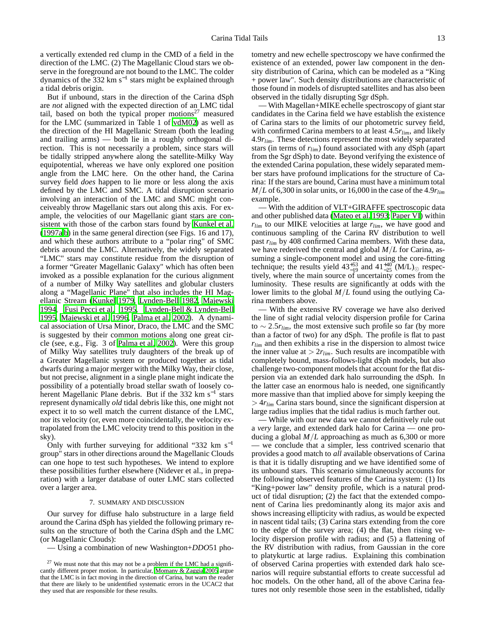a vertically extended red clump in the CMD of a field in the direction of the LMC. (2) The Magellanic Cloud stars we observe in the foreground are not bound to the LMC. The colder dynamics of the 332 km s−<sup>1</sup> stars might be explained through a tidal debris origin.

But if unbound, stars in the direction of the Carina dSph are *not* aligned with the expected direction of an LMC tidal tail, based on both the typical proper motions<sup>27</sup> measured for the LMC (summarized in Table 1 of [vdM02\)](#page-16-36) as well as the direction of the HI Magellanic Stream (both the leading and trailing arms) — both lie in a roughly orthogonal direction. This is not necessarily a problem, since stars will be tidally stripped anywhere along the satellite-Milky Way equipotential, whereas we have only explored one position angle from the LMC here. On the other hand, the Carina survey field *does* happen to lie more or less along the axis defined by the LMC and SMC. A tidal disruption scenario involving an interaction of the LMC and SMC might conceiveably throw Magellanic stars out along this axis. For example, the velocities of our Magellanic giant stars are consistent with those of the carbon stars found by [Kunkel et al.](#page-15-8) [\(1997a](#page-15-8)[,b\)](#page-15-43) in the same general direction (see Figs. 16 and 17), and which these authors attribute to a "polar ring" of SMC debris around the LMC. Alternatively, the widely separated "LMC" stars may constitute residue from the disruption of a former "Greater Magellanic Galaxy" which has often been invoked as a possible explanation for the curious alignment of a number of Milky Way satellites and globular clusters along a "Magellanic Plane" that also includes the HI Magellanic Stream [\(Kunkel 1979](#page-15-46), [Lynden-Bell 1982,](#page-15-47) [Majewski](#page-15-48) [1994,](#page-15-48) [Fusi Pecci et al. 1995,](#page-15-49) [Lynden-Bell & Lynden-Bell](#page-15-50) [1995,](#page-15-50) [Majewski et al. 1996,](#page-15-51) [Palma et al. 2002\)](#page-16-41). A dynamical association of Ursa Minor, Draco, the LMC and the SMC is suggested by their common motions along one great circle (see, e.g., Fig. 3 of [Palma et al. 2002\)](#page-16-41). Were this group of Milky Way satellites truly daughters of the break up of a Greater Magellanic system or produced together as tidal dwarfs during a major merger with the Milky Way, their close, but not precise, alignment in a single plane might indicate the possibility of a potentially broad stellar swath of loosely coherent Magellanic Plane debris. But if the 332 km s<sup>-1</sup> stars represent dynamically *old* tidal debris like this, one might not expect it to so well match the current distance of the LMC, nor its velocity (or, even more coincidentally, the velocity extrapolated from the LMC velocity trend to this position in the sky).

Only with further surveying for additional "332 km s<sup>−</sup><sup>1</sup> group" stars in other directions around the Magellanic Clouds can one hope to test such hypotheses. We intend to explore these possibilities further elsewhere (Nidever et al., in preparation) with a larger database of outer LMC stars collected over a larger area.

#### 7. SUMMARY AND DISCUSSION

Our survey for diffuse halo substructure in a large field around the Carina dSph has yielded the following primary results on the structure of both the Carina dSph and the LMC (or Magellanic Clouds):

— Using a combination of new Washington+*DDO*51 pho-

tometry and new echelle spectroscopy we have confirmed the existence of an extended, power law component in the density distribution of Carina, which can be modeled as a "King + power law". Such density distributions are characteristic of those found in models of disrupted satellites and has also been observed in the tidally disrupting Sgr dSph.

— With Magellan+MIKE echelle spectroscopy of giant star candidates in the Carina field we have establish the existence of Carina stars to the limits of our photometric survey field, with confirmed Carina members to at least 4.5*rlim*, and likely 4.9*rlim*. These detections represent the most widely separated stars (in terms of *rlim*) found associated with any dSph (apart from the Sgr dSph) to date. Beyond verifying the existence of the extended Carina population, these widely separated member stars have profound implications for the structure of Carina: If the stars are bound, Carina must have a minimum total *M*/*L* of 6,300 in solar units, or 16,000 in the case of the 4.9*rlim* example.

— With the addition of VLT+GIRAFFE spectroscopic data and other published data [\(Mateo et al. 1993](#page-16-11); [Paper VI\)](#page-16-3) within *rlim* to our MIKE velocities at large *rlim*, we have good and continuous sampling of the Carina RV distribution to well past *rlim* by 408 confirmed Carina members. With these data, we have rederived the central and global *M*/*L* for Carina, assuming a single-component model and using the core-fitting technique; the results yield  $43^{+53}_{-19}$  and  $41^{+40}_{-25}$  (M/L)<sub>☉</sub> respectively, where the main source of uncertainty comes from the luminosity. These results are significantly at odds with the lower limits to the global *M*/*L* found using the outlying Carina members above.

— With the extensive RV coverage we have also derived the line of sight radial velocity dispersion profile for Carina to ∼ 2.5*rlim*, the most extensive such profile so far (by more than a factor of two) for any dSph. The profile is flat to past *rlim* and then exhibits a rise in the dispersion to almost twice the inner value at  $> 2r_{lim}$ . Such results are incompatible with completely bound, mass-follows-light dSph models, but also challenge two-component models that account for the flat dispersion via an extended dark halo surrounding the dSph. In the latter case an enormous halo is needed, one significantly more massive than that implied above for simply keeping the  $> 4r_{lim}$  Carina stars bound, since the significant dispersion at large radius implies that the tidal radius is much farther out.

— While with our new data we cannot definitively rule out a *very* large, and extended dark halo for Carina — one producing a global *M*/*L* approaching as much as 6,300 or more — we conclude that a simpler, less contrived scenario that provides a good match to *all* available observations of Carina is that it is tidally disrupting and we have identified some of its unbound stars. This scenario simultaneously accounts for the following observed features of the Carina system: (1) Its "King+power law" density profile, which is a natural product of tidal disruption; (2) the fact that the extended component of Carina lies predominantly along its major axis and shows increasing ellipticity with radius, as would be expected in nascent tidal tails; (3) Carina stars extending from the core to the edge of the survey area; (4) the flat, then rising velocity dispersion profile with radius; and (5) a flattening of the RV distribution with radius, from Gaussian in the core to platykurtic at large radius. Explaining this combination of observed Carina properties with extended dark halo scenarios will require substantial efforts to create successful ad hoc models. On the other hand, all of the above Carina features not only resemble those seen in the established, tidally

 $27$  We must note that this may not be a problem if the LMC had a significantly different proper motion. In particular, [Momany & Zaggia 2005](#page-16-42) argue that the LMC is in fact moving in the direction of Carina, but warn the reader that there are likely to be unidentified systematic errors in the UCAC2 that they used that are responsible for these results.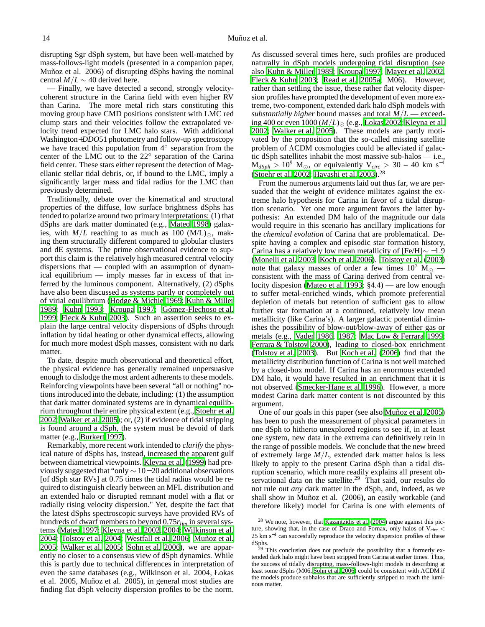disrupting Sgr dSph system, but have been well-matched by mass-follows-light models (presented in a companion paper, Muñoz et al. 2006) of disrupting dSphs having the nominal central  $M/L \sim 40$  derived here.

— Finally, we have detected a second, strongly velocitycoherent structure in the Carina field with even higher RV than Carina. The more metal rich stars constituting this moving group have CMD positions consistent with LMC red clump stars and their velocities follow the extrapolated velocity trend expected for LMC halo stars. With additional Washington+*DDO*51 photometry and follow-up spectroscopy we have traced this population from 4° separation from the center of the LMC out to the 22◦ separation of the Carina field center. These stars either represent the detection of Magellanic stellar tidal debris, or, if bound to the LMC, imply a significantly larger mass and tidal radius for the LMC than previously determined.

Traditionally, debate over the kinematical and structural properties of the diffuse, low surface brightness dSphs has tended to polarize around two primary interpretations: (1) that dSphs are dark matter dominated (e.g., [Mateo 1998\)](#page-16-22) galaxies, with  $M/L$  reaching to as much as 100 (M/L)<sub> $\odot$ </sub>, making them structurally different compared to globular clusters and dE systems. The prime observational evidence to support this claim is the relatively high measured central velocity dispersions that — coupled with an assumption of dynamical equilibrium — imply masses far in excess of that inferred by the luminous component. Alternatively, (2) dSphs have also been discussed as systems partly or completely out of virial equilibrium [\(Hodge & Michie 1969;](#page-15-52) [Kuhn & Miller](#page-15-17) [1989;](#page-15-17) [Kuhn 1993;](#page-15-53) [Kroupa 1997;](#page-15-18) [Gómez-Flechoso et al.](#page-15-54) [1999;](#page-15-54) [Fleck & Kuhn 2003](#page-15-19)). Such an assertion seeks to explain the large central velocity dispersions of dSphs through inflation by tidal heating or other dynamical effects, allowing for much more modest dSph masses, consistent with no dark matter.

To date, despite much observational and theoretical effort, the physical evidence has generally remained unpersuasive enough to dislodge the most ardent adherents to these models. Reinforcing viewpoints have been several "all or nothing" notions introduced into the debate, including: (1) the assumption that dark matter dominated systems are in dynamical equilibrium throughout their entire physical extent (e.g., [Stoehr](#page-16-30) et al. [2002;](#page-16-30) [Walker et al. 2005](#page-16-6)); or, (2) if evidence of tidal stripping is found around a dSph, the system must be devoid of dark matter (e.g., [Burkert 1997](#page-15-20)).

Remarkably, more recent work intended to *clarify* the physical nature of dSphs has, instead, increased the apparent gulf between diametrical viewpoints. [Kleyna et al. \(1999\)](#page-15-55) had previously suggested that "only ∼ 10−20 additional observations [of dSph star RVs] at 0.75 times the tidal radius would be required to distinguish clearly between an MFL distribution and an extended halo or disrupted remnant model with a flat or radially rising velocity dispersion." Yet, despite the fact that the latest dSphs spectroscopic surveys have provided RVs of hundreds of dwarf members to beyond 0.75*rlim* in several systems [\(Mateo 1997;](#page-16-43) [Kleyna et al. 2002,](#page-15-14) [2004;](#page-15-56) [Wilkinson et al.](#page-16-24) [2004;](#page-16-24) [Tolstoy et al. 2004;](#page-16-23) [Westfall et al. 2006;](#page-16-5) [Muñoz et al.](#page-16-4) [2005;](#page-16-4) [Walker et al. 2005;](#page-16-6) [Sohn et al. 2006](#page-16-7)), we are apparently no closer to a consensus view of dSph dynamics. While this is partly due to technical differences in interpretation of even the same databases (e.g., Wilkinson et al. 2004, Łokas et al. 2005, Muñoz et al. 2005), in general most studies are finding flat dSph velocity dispersion profiles to be the norm.

As discussed several times here, such profiles are produced naturally in dSph models undergoing tidal disruption (see also [Kuhn & Miller 1989;](#page-15-17) [Kroupa 1997;](#page-15-18) [Mayer et al. 2002,](#page-16-8) [Fleck & Kuhn 2003;](#page-15-19) [Read et al. 2005a;](#page-16-16) M06). However, rather than settling the issue, these rather flat velocity dispersion profiles have prompted the development of even more extreme, two-component, extended dark halo dSph models with *substantially higher* bound masses and total *M*/*L* — exceeding 400 or even  $1000 (M/L)_{\odot}$  (e.g., [Łokas 2002;](#page-15-57) [Kleyna et al.](#page-15-14) [2002;](#page-15-14) [Walker et al. 2005](#page-16-6)). These models are partly motivated by the proposition that the so-called missing satellite problem of ΛCDM cosmologies could be alleviated if galactic dSph satellites inhabit the most massive sub-halos — i.e.,  $M_{dSph} > 10^9$  M<sub>☉</sub>, or equivalently V<sub>circ</sub> > 30 – 40 km s<sup>-1</sup> [\(Stoehr et al. 2002](#page-16-30); [Hayashi et al. 2003\)](#page-15-22).<sup>28</sup>

From the numerous arguments laid out thus far, we are persuaded that the weight of evidence militates against the extreme halo hypothesis for Carina in favor of a tidal disruption scenario. Yet one more argument favors the latter hypothesis: An extended DM halo of the magnitude our data would require in this scenario has ancillary implications for the *chemical evolution* of Carina that are problematical. Despite having a complex and episodic star formation history, Carina has a relatively low mean metallicity of [Fe/H]∼ −1.9 [\(Monelli et al. 2003;](#page-16-14) [Koch et al. 2006\)](#page-15-39). [Tolstoy et al.](#page-16-44) [\(2003\)](#page-16-44) note that galaxy masses of order a few times  $10^7$  M<sub> $\odot$ </sub> consistent with the mass of Carina derived from central velocity dispesion [\(Mateo et al. 1993;](#page-16-11) §4.4) — are low enough to suffer metal-enriched winds, which promote preferential depletion of metals but retention of sufficient gas to allow further star formation at a continued, relatively low mean metallicity (like Carina's). A larger galactic potential diminishes the possibility of blow-out/blow-away of either gas or metals (e.g., [Vader 1986,](#page-16-45) [1987](#page-16-46); [Mac Low & Ferrara 1999](#page-15-58); [Ferrara & Tolstoy 2000\)](#page-15-59), leading to closed-box enrichment [\(Tolstoy et al. 2003\)](#page-16-44). But [Koch et al. \(2006](#page-15-39)) find that the metallicity distribution function of Carina is not well matched by a closed-box model. If Carina has an enormous extended DM halo, it would have resulted in an enrichment that it is not observed [\(Smecker-Hane et al. 1996\)](#page-16-47). However, a more modest Carina dark matter content is not discounted by this argument.

One of our goals in this paper (see also [Muñoz et al. 2005\)](#page-16-4) has been to push the measurement of physical parameters in one dSph to hitherto unexplored regions to see if, in at least one system, new data in the extrema can definitively rein in the range of possible models. We conclude that the new breed of extremely large *M*/*L*, extended dark matter halos is less likely to apply to the present Carina dSph than a tidal disruption scenario, which more readily explains all present observational data on the satellite.<sup>29</sup> That said, our results do not rule out *any* dark matter in the dSph, and, indeed, as we shall show in Muñoz et al. (2006), an easily workable (and therefore likely) model for Carina is one with elements of

<sup>28</sup> We note, however, that [Kazantzidis et al. \(2004](#page-15-60)) argue against this picture, showing that, in the case of Draco and Fornax, only halos of V*circ* < 25 km s<sup>-1</sup> can succesfully reproduce the velocity dispersion profiles of these dSphs.

<sup>&</sup>lt;sup>29</sup> This conclusion does not preclude the possibility that a formerly extended dark halo might have been stripped from Carina at earlier times. Thus, the success of tidally disrupting, mass-follows-light models in describing at least some dSphs (M06, [Sohn et al. 2006](#page-16-7)) could be consistent with ΛCDM if the models produce subhalos that are sufficiently stripped to reach the luminous matter.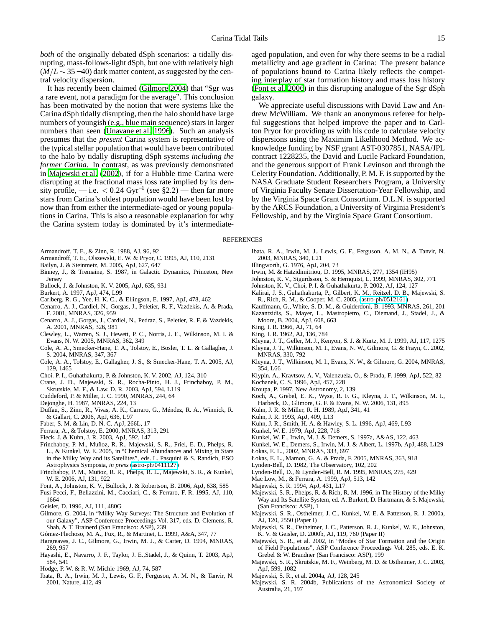*both* of the originally debated dSph scenarios: a tidally disrupting, mass-follows-light dSph, but one with relatively high  $(M/L \sim 35-40)$  dark matter content, as suggested by the central velocity dispersion.

It has recently been claimed [\(Gilmore 2004\)](#page-15-61) that "Sgr was a rare event, not a paradigm for the average". This conclusion has been motivated by the notion that were systems like the Carina dSph tidally disrupting, then the halo should have large numbers of youngish (e.g., blue main sequence) stars in larger numbers than seen [\(Unavane et al. 1996\)](#page-16-48). Such an analysis presumes that the *present* Carina system is representative of the typical stellar population that would have been contributed to the halo by tidally disrupting dSph systems *including the former Carina*. In contrast, as was previously demonstrated in [Majewski et al.](#page-15-62) [\(2002\)](#page-15-62), if for a Hubble time Carina were disrupting at the fractional mass loss rate implied by its density profile, — i.e.  $< 0.24 \text{ Gyr}^{-1}$  (see §2.2) — then far more stars from Carina's oldest population would have been lost by now than from either the intermediate-aged or young populations in Carina. This is also a reasonable explanation for why the Carina system today is dominated by it's intermediateaged population, and even for why there seems to be a radial metallicity and age gradient in Carina: The present balance of populations bound to Carina likely reflects the competing interplay of star formation history and mass loss history [\(Font et al. 2006\)](#page-15-34) in this disrupting analogue of the Sgr dSph galaxy.

We appreciate useful discussions with David Law and Andrew McWilliam. We thank an anonymous referee for helpful suggestions that helped improve the paper and to Carlton Pryor for providing us with his code to calculate velocity dispersions using the Maximim Likelihood Method. We acknowledge funding by NSF grant AST-0307851, NASA/JPL contract 1228235, the David and Lucile Packard Foundation, and the generous support of Frank Levinson and through the Celerity Foundation. Additionally, P. M. F. is supported by the NASA Graduate Student Researchers Program, a University of Virginia Faculty Senate Dissertation-Year Fellowship, and by the Virginia Space Grant Consortium. D.L.N. is supported by the ARCS Foundation, a University of Virginia President's Fellowship, and by the Virginia Space Grant Consortium.

#### <span id="page-15-31"></span><span id="page-15-28"></span><span id="page-15-15"></span><span id="page-15-6"></span><span id="page-15-5"></span><span id="page-15-0"></span>**REFERENCES**

- <span id="page-15-37"></span>Armandroff, T. E., & Zinn, R. 1988, AJ, 96, 92
- Armandroff, T. E., Olszewski, E. W. & Pryor, C. 1995, AJ, 110, 2131
- <span id="page-15-26"></span>Bailyn, J. & Steinmetz, M. 2005, ApJ, 627, 647
- <span id="page-15-12"></span>Binney, J., & Tremaine, S. 1987, in Galactic Dynamics, Princeton, New **J**ersey
- <span id="page-15-35"></span>Bullock, J. & Johnston, K. V. 2005, ApJ, 635, 931
- Burkert, A. 1997, ApJ, 474, L99
- <span id="page-15-40"></span><span id="page-15-21"></span><span id="page-15-20"></span>Carlberg, R. G., Yee, H. K. C., & Ellingson, E. 1997, ApJ, 478, 462
- Cenarro, A. J., Cardiel, N., Gorgas, J., Peletier, R. F., Vazdekis, A. & Prada, F. 2001, MNRAS, 326, 959
- <span id="page-15-41"></span>Cenarro, A. J., Gorgas, J., Cardiel, N., Pedraz, S., Peletier, R. F. & Vazdekis, A. 2001, MNRAS, 326, 981
- <span id="page-15-32"></span>Clewley, L., Warren, S. J., Hewett, P. C., Norris, J. E., Wilkinson, M. I. & Evans, N. W. 2005, MNRAS, 362, 349
- <span id="page-15-38"></span>Cole, A. A., Smecker-Hane, T. A., Tolstoy, E., Bosler, T. L. & Gallagher, J. S. 2004, MNRAS, 347, 367
- <span id="page-15-44"></span>Cole, A. A., Tolstoy, E., Gallagher, J. S., & Smecker-Hane, T. A. 2005, AJ, 129, 1465
- Choi. P. I., Guhathakurta, P. & Johnston, K. V. 2002, AJ, 124, 310
- <span id="page-15-29"></span><span id="page-15-10"></span>Crane, J. D., Majewski, S. R., Rocha-Pinto, H. J., Frinchaboy, P. M., Skrutskie, M. F., & Law, D. R. 2003, ApJ, 594, L119
- Cuddeford, P. & Miller, J. C. 1990, MNRAS, 244, 64
- Dejonghe, H. 1987, MNRAS, 224, 13
- <span id="page-15-33"></span><span id="page-15-27"></span>Duffau, S., Zinn, R., Vivas, A. K., Carraro, G., Méndez, R. A., Winnick, R. & Gallart, C. 2006, ApJ, 636, L97
- Faber, S. M. & Lin, D. N. C. ApJ, 266L, 17
- Ferrara, A., & Tolstoy, E. 2000, MNRAS, 313, 291
- <span id="page-15-59"></span><span id="page-15-42"></span><span id="page-15-19"></span>Fleck, J. & Kuhn, J. R. 2003, ApJ, 592, 147
- Frinchaboy, P. M., Muñoz, R. R., Majewski, S. R., Friel, E. D., Phelps, R. L., & Kunkel, W. E. 2005, in "Chemical Abundances and Mixing in Stars in the Milky Way and its Satellites", eds. L. Pasquini & S. Randich, ESO Astrophysics Symposia, *in press* [\(astro-ph/0411127\)](http://arXiv.org/abs/astro-ph/0411127)
- <span id="page-15-9"></span>Frinchaboy, P. M., Muñoz, R. R., Phelps, R. L., Majewski, S. R., & Kunkel, W. E. 2006, AJ, 131, 922
- <span id="page-15-34"></span>Font, A., Johnston, K. V., Bullock, J. & Robertson, B. 2006, ApJ, 638, 585
- <span id="page-15-49"></span>Fusi Pecci, F., Bellazzini, M., Cacciari, C., & Ferraro, F. R. 1995, AJ, 110, 1664
- <span id="page-15-4"></span>Geisler, D. 1996, AJ, 111, 480G
- <span id="page-15-61"></span>Gilmore, G. 2004, in "Milky Way Surveys: The Structure and Evolution of our Galaxy", ASP Conference Proceedings Vol. 317, eds. D. Clemens, R. Shah, & T. Brainerd (San Francisco: ASP), 239
- Gómez-Flechoso, M. A., Fux, R., & Martinet, L. 1999, A&A, 347, 77
- <span id="page-15-54"></span><span id="page-15-13"></span>Hargreaves, J. C., Gilmore, G., Irwin, M. J., & Carter, D. 1994, MNRAS, 269, 957
- <span id="page-15-22"></span>Hayashi, E., Navarro, J. F., Taylor, J. E.,Stadel, J., & Quinn, T. 2003, ApJ, 584, 541
- <span id="page-15-52"></span>Hodge, P. W. & R. W. Michie 1969, AJ, 74, 587
- <span id="page-15-30"></span>Ibata, R. A., Irwin, M. J., Lewis, G. F., Ferguson, A. M. N., & Tanvir, N. 2001, Nature, 412, 49
- Ibata, R. A., Irwin, M. J., Lewis, G. F., Ferguson, A. M. N., & Tanvir, N. 2003, MNRAS, 340, L21
- Illingworth, G. 1976, ApJ, 204, 73
- Irwin, M. & Hatzidimitriou, D. 1995, MNRAS, 277, 1354 (IH95)
- Johnston, K. V., Sigurdsson, S. & Hernquist, L. 1999, MNRAS, 302, 771
- Johnston, K. V., Choi, P. I. & Guhathakurta, P. 2002, AJ, 124, 127
- Kalirai, J. S., Guhathakurta, P., Gilbert, K. M., Reitzel, D. B., Majewski, S.
- R., Rich, R. M., & Cooper, M. C. 2005, [\(astro-ph/0512161\)](http://arXiv.org/abs/astro-ph/0512161) Kauffmann, G., White, S. D. M., & Guiderdoni, B. 1993, MNRAS, 261, 201
- <span id="page-15-60"></span><span id="page-15-23"></span>Kazantzidis, S., Mayer, L., Mastropietro, C., Diemand, J., Stadel, J., & Moore, B. 2004, ApJ, 608, 663
- <span id="page-15-11"></span>King, I. R. 1966, AJ, 71, 64
- King, I. R. 1962, AJ, 136, 784
- Kleyna, J. T., Geller, M. J., Kenyon, S. J. & Kurtz, M. J. 1999, AJ, 117, 1275
- <span id="page-15-55"></span><span id="page-15-14"></span>Kleyna, J. T., Wilkinson, M. I., Evans, N. W., Gilmore, G. & Frayn, C. 2002, MNRAS, 330, 792
- <span id="page-15-56"></span>Kleyna, J. T., Wilkinson, M. I., Evans, N. W., & Gilmore, G. 2004, MNRAS, 354, L66
- Klypin, A., Kravtsov, A. V., Valenzuela, O., & Prada, F. 1999, ApJ, 522, 82
- <span id="page-15-45"></span><span id="page-15-24"></span>Kochanek, C. S. 1996, ApJ, 457, 228
- <span id="page-15-39"></span><span id="page-15-18"></span>Kroupa, P. 1997, New Astronomy, 2, 139
- Koch, A., Grebel, E. K., Wyse, R. F. G., Kleyna, J. T., Wilkinson, M. I., Harbeck, D., Glimore, G. F. & Evans, N. W. 2006, 131, 895
- Kuhn, J. R. & Miller, R. H. 1989, ApJ, 341, 41
- <span id="page-15-53"></span><span id="page-15-17"></span><span id="page-15-1"></span>Kuhn, J. R. 1993, ApJ, 409, L13
- Kuhn, J. R., Smith, H. A. & Hawley, S. L. 1996, ApJ, 469, L93
- <span id="page-15-46"></span><span id="page-15-8"></span>Kunkel, W. E. 1979, ApJ, 228, 718
- Kunkel, W. E., Irwin, M. J. & Demers, S. 1997a, A&AS, 122, 463
- Kunkel, W. E., Demers, S., Irwin, M. J. & Albert, L. 1997b, ApJ, 488, L129
- <span id="page-15-57"></span><span id="page-15-43"></span>Łokas, E. L., 2002, MNRAS, 333, 697
- <span id="page-15-16"></span>Łokas, E. L., Mamon, G. A. & Prada, F. 2005, MNRAS, 363, 918
- Lynden-Bell, D. 1982, The Observatory, 102, 202
- Lynden-Bell, D., & Lynden-Bell, R. M. 1995, MNRAS, 275, 429
- <span id="page-15-58"></span><span id="page-15-51"></span><span id="page-15-50"></span><span id="page-15-48"></span><span id="page-15-47"></span>Mac Low, M., & Ferrara, A. 1999, ApJ, 513, 142
- Majewski, S. R. 1994, ApJ, 431, L17
- Majewski, S. R., Phelps, R. & Rich, R. M. 1996, in The History of the Milky Way and Its Satellite System, ed. A. Burkert, D. Hartmann, & S. Majewski, (San Francisco: ASP), 1
- Majewski, S. R., Ostheimer, J. C., Kunkel, W. E. & Patterson, R. J. 2000a, AJ, 120, 2550 (Paper I)
- <span id="page-15-3"></span><span id="page-15-2"></span>Majewski, S. R., Ostheimer, J. C., Patterson, R. J., Kunkel, W. E., Johnston, K. V. & Geisler, D. 2000b, AJ, 119, 760 (Paper II)
- <span id="page-15-62"></span>Majewski, S. R., et al. 2002, in "Modes of Star Formation and the Origin of Field Populations", ASP Conference Proceedings Vol. 285, eds. E. K. Grebel & W. Brandner (San Francisco: ASP), 199
- <span id="page-15-25"></span>Majewski, S. R., Skrutskie, M. F., Weinberg, M. D. & Ostheimer, J. C. 2003, ApJ, 599, 1082
- Majewski, S. R., et al. 2004a, AJ, 128, 245
- <span id="page-15-36"></span><span id="page-15-7"></span>Majewski, S. R. 2004b, Publications of the Astronomical Society of Australia, 21, 197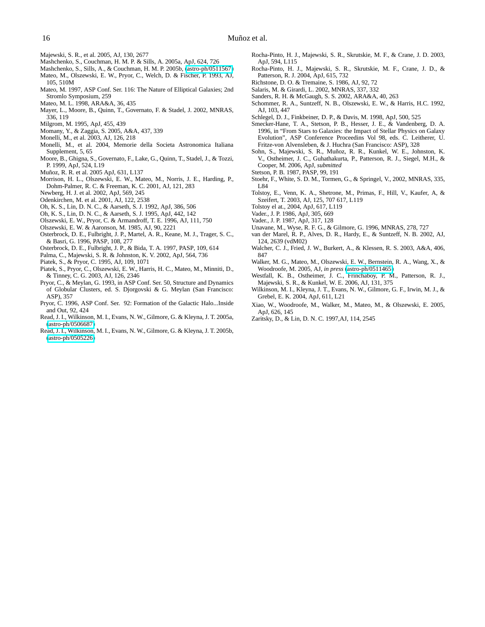- <span id="page-16-32"></span><span id="page-16-3"></span>Majewski, S. R., et al. 2005, AJ, 130, 2677
- Mashchenko, S., Couchman, H. M. P. & Sills, A. 2005a, ApJ, 624, 726
- <span id="page-16-27"></span><span id="page-16-11"></span>Mashchenko, S., Sills, A., & Couchman, H. M. P. 2005b, [\(astro-ph/0511567\)](http://arXiv.org/abs/astro-ph/0511567) Mateo, M., Olszewski, E. W., Pryor, C., Welch, D. & Fischer, P. 1993, AJ,
- <span id="page-16-43"></span>105, 510M Mateo, M. 1997, ASP Conf. Ser. 116: The Nature of Elliptical Galaxies; 2nd
- Stromlo Symposium, 259
- <span id="page-16-22"></span>Mateo, M. L. 1998, ARA&A, 36, 435
- <span id="page-16-8"></span>Mayer, L., Moore, B., Quinn, T., Governato, F. & Stadel, J. 2002, MNRAS, 336, 119
- Milgrom, M. 1995, ApJ, 455, 439
- <span id="page-16-42"></span><span id="page-16-38"></span><span id="page-16-14"></span>Momany, Y., & Zaggia, S. 2005, A&A, 437, 339
- Monelli, M., et al. 2003, AJ, 126, 218
- <span id="page-16-2"></span>Monelli, M., et al. 2004, Memorie della Societa Astronomica Italiana Supplement, 5, 65
- <span id="page-16-31"></span>Moore, B., Ghigna, S., Governato, F., Lake, G., Quinn, T., Stadel, J., & Tozzi, P. 1999, ApJ, 524, L19
- <span id="page-16-4"></span>Muñoz, R. R. et al. 2005 ApJ, 631, L137
- <span id="page-16-0"></span>Morrison, H. L., Olszewski, E. W., Mateo, M., Norris, J. E., Harding, P., Dohm-Palmer, R. C. & Freeman, K. C. 2001, AJ, 121, 283
- <span id="page-16-33"></span>Newberg, H. J. et al. 2002, ApJ, 569, 245
- Odenkirchen, M. et al. 2001, AJ, 122, 2538
- <span id="page-16-19"></span>Oh, K. S., Lin, D. N. C., & Aarseth, S. J. 1992, ApJ, 386, 506
- <span id="page-16-17"></span>Oh, K. S., Lin, D. N. C., & Aarseth, S. J. 1995, ApJ, 442, 142
- Olszewski, E. W., Pryor, C. & Armandroff, T. E. 1996, AJ, 111, 750
- Olszewski, E. W. & Aaronson, M. 1985, AJ, 90, 2221
- <span id="page-16-12"></span>Osterbrock, D. E., Fulbright, J. P., Martel, A. R., Keane, M. J., Trager, S. C., & Basri, G. 1996, PASP, 108, 277
- Osterbrock, D. E., Fulbright, J. P., & Bida, T. A. 1997, PASP, 109, 614
- <span id="page-16-41"></span><span id="page-16-13"></span>Palma, C., Majewski, S. R. & Johnston, K. V. 2002, ApJ, 564, 736
- <span id="page-16-18"></span>Piatek, S., & Pryor, C. 1995, AJ, 109, 1071
- <span id="page-16-29"></span>Piatek, S., Pryor, C., Olszewski, E. W., Harris, H. C., Mateo, M., Minniti, D., & Tinney, C. G. 2003, AJ, 126, 2346
- <span id="page-16-20"></span>Pryor, C., & Meylan, G. 1993, in ASP Conf. Ser. 50, Structure and Dynamics of Globular Clusters, ed. S. Djorgovski & G. Meylan (San Francisco: ASP), 357
- <span id="page-16-28"></span>Pryor, C. 1996, ASP Conf. Ser. 92: Formation of the Galactic Halo...Inside and Out, 92, 424
- <span id="page-16-16"></span>Read, J. I., Wilkinson, M. I., Evans, N. W., Gilmore, G. & Kleyna, J. T. 2005a, [\(astro-ph/0506687\)](http://arXiv.org/abs/astro-ph/0506687)
- <span id="page-16-26"></span>Read, J. I., Wilkinson, M. I., Evans, N. W., Gilmore, G. & Kleyna, J. T. 2005b, [\(astro-ph/0505226\)](http://arXiv.org/abs/astro-ph/0505226)
- <span id="page-16-34"></span>Rocha-Pinto, H. J., Majewski, S. R., Skrutskie, M. F., & Crane, J. D. 2003, ApJ, 594, L115
- <span id="page-16-35"></span>Rocha-Pinto, H. J., Majewski, S. R., Skrutskie, M. F., Crane, J. D., & Patterson, R. J. 2004, ApJ, 615, 732
- <span id="page-16-21"></span>Richstone, D. O. & Tremaine, S. 1986, AJ, 92, 72
- <span id="page-16-15"></span>Salaris, M. & Girardi, L. 2002, MNRAS, 337, 332
- Sanders, R. H. & McGaugh, S. S. 2002, ARA&A, 40, 263
- <span id="page-16-39"></span><span id="page-16-37"></span>Schommer, R. A., Suntzeff, N. B., Olszewski, E. W., & Harris, H.C. 1992, AJ, 103, 447
- Schlegel, D. J., Finkbeiner, D. P., & Davis, M. 1998, ApJ, 500, 525
- <span id="page-16-47"></span><span id="page-16-10"></span>Smecker-Hane, T. A., Stetson, P. B., Hesser, J. E., & Vandenberg, D. A. 1996, in "From Stars to Galaxies: the Impact of Stellar Physics on Galaxy Evolution", ASP Conference Proceedins Vol 98, eds. C. Leitherer, U. Fritze-von Alvensleben, & J. Huchra (San Francisco: ASP), 328
- <span id="page-16-7"></span>Sohn, S., Majewski, S. R., Muñoz, R. R., Kunkel, W. E., Johnston, K. V., Ostheimer, J. C., Guhathakurta, P., Patterson, R. J., Siegel, M.H., & Cooper, M. 2006, ApJ, *submitted*
- <span id="page-16-30"></span><span id="page-16-9"></span>Stetson, P. B. 1987, PASP, 99, 191
- Stoehr, F., White, S. D. M., Tormen, G., & Springel, V., 2002, MNRAS, 335, L84
- <span id="page-16-44"></span>Tolstoy, E., Venn, K. A., Shetrone, M., Primas, F., Hill, V., Kaufer, A, & Szeifert, T. 2003, AJ, 125, 707 617, L119
- <span id="page-16-23"></span>Tolstoy el at., 2004, ApJ, 617, L119
- <span id="page-16-45"></span>Vader., J. P. 1986, ApJ, 305, 669
- Vader., J. P. 1987, ApJ, 317, 128
- <span id="page-16-48"></span><span id="page-16-46"></span>Unavane, M., Wyse, R. F. G., & Gilmore, G. 1996, MNRAS, 278, 727
- <span id="page-16-36"></span>van der Marel, R. P., Alves, D. R., Hardy, E., & Suntzeff, N. B. 2002, AJ, 124, 2639 (vdM02)
- <span id="page-16-1"></span>Walcher, C. J., Fried, J. W., Burkert, A., & Klessen, R. S. 2003, A&A, 406, 847
- <span id="page-16-6"></span>Walker, M. G., Mateo, M., Olszewski, E. W., Bernstein, R. A., Wang, X., & Woodroofe, M. 2005, AJ, *in press* [\(astro-ph/0511465\)](http://arXiv.org/abs/astro-ph/0511465)
- <span id="page-16-5"></span>Westfall, K. B., Ostheimer, J. C., Frinchaboy, P. M., Patterson, R. J., Majewski, S. R., & Kunkel, W. E. 2006, AJ, 131, 375
- <span id="page-16-24"></span>Wilkinson, M. I., Kleyna, J. T., Evans, N. W., Gilmore, G. F., Irwin, M. J., & Grebel, E. K. 2004, ApJ, 611, L21
- <span id="page-16-25"></span>Xiao, W., Woodroofe, M., Walker, M., Mateo, M., & Olszewski, E. 2005, ApJ, 626, 145
- <span id="page-16-40"></span>Zaritsky, D., & Lin, D. N. C. 1997,AJ, 114, 2545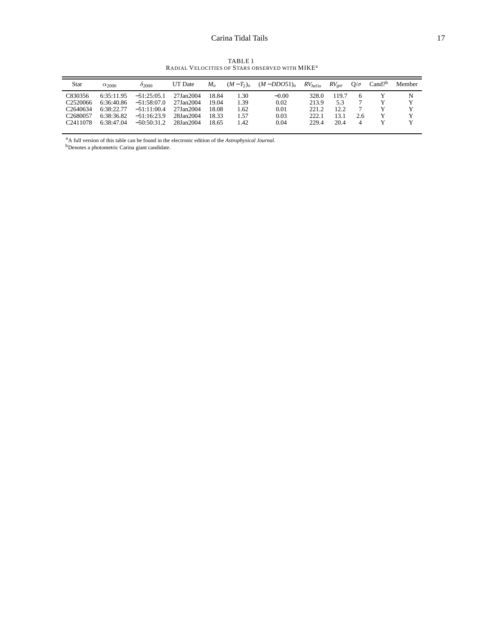TABLE 1<br>Radial Velocities of Stars observed with MIKE<sup>a</sup>

| Star                                                                 | $\alpha_{2000}$                        | 02000                                           | UT Date                             | $M_{\alpha}$            | $(M-T_2)_o$         | $(M - DDO51)_{o}$    | $RV_{helio}$            | $RV_{psr}$           | $O/\sigma$ | $Cand?$ <sup>b</sup> | Member |
|----------------------------------------------------------------------|----------------------------------------|-------------------------------------------------|-------------------------------------|-------------------------|---------------------|----------------------|-------------------------|----------------------|------------|----------------------|--------|
| C830356<br>C <sub>2520066</sub>                                      | 6:35:11.95<br>6:36:40.86               | $-51:25:05.1$<br>$-51:58:07.0$                  | 27Jan2004<br>27Jan2004              | 18.84<br>19.04          | .30<br>1.39         | $-0.00$<br>0.02      | 328.0<br>213.9          | 119.7<br>5.3         |            |                      | N<br>Y |
| C <sub>2640634</sub><br>C <sub>2680057</sub><br>C <sub>2411078</sub> | 6.38.22.77<br>6:38:36.82<br>6:38:47.04 | $-51:11:00.4$<br>$-51:16:23.9$<br>$-50.50.31.2$ | 27Jan2004<br>28Jan2004<br>28Jan2004 | 18.08<br>18.33<br>18.65 | . 62<br>1.57<br>.42 | 0.01<br>0.03<br>0.04 | 221.2<br>222.1<br>229.4 | 12.2<br>13.1<br>20.4 | 2.6<br>4   |                      | v      |

<sup>a</sup>A full version of this table can be found in the electronic edition of the *Astrophysical Journal*.

<sup>b</sup>Denotes a photometric Carina giant candidate.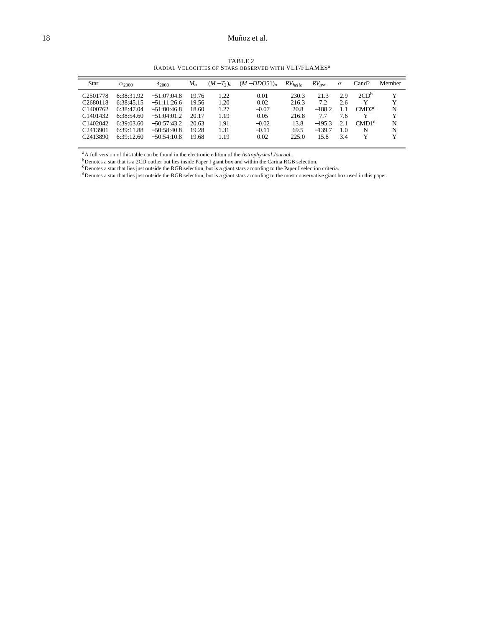## 18 Muñoz et al.

TABLE 2<br>Radial Velocities of Stars observed with VLT/FLAMES<sup>a</sup>

| Star                 | $\alpha_{2000}$ | $\delta_{2000}$ | $M_o$ | $(M-T_2)_o$ | $(M-DDO51)_{o}$ | RV <sub>helio</sub> | $RV_{\text{e}sr}$ | $\sigma$ | Cand?                     | Member |
|----------------------|-----------------|-----------------|-------|-------------|-----------------|---------------------|-------------------|----------|---------------------------|--------|
| C <sub>2501778</sub> | 6:38:31.92      | $-51:07:04.8$   | 19.76 | 1.22        | 0.01            | 230.3               | 21.3              | 2.9      | 2CD <sup>b</sup>          | Y      |
| C <sub>2680118</sub> | 6:38:45.15      | $-51:11:26.6$   | 19.56 | 1.20        | 0.02            | 216.3               | 7.2               | 2.6      | Y                         | Y      |
| C <sub>1400762</sub> | 6:38:47.04      | $-51:00:46.8$   | 18.60 | 1.27        | $-0.07$         | 20.8                | $-188.2$          | 1.1      | $\text{CMD}$ <sup>c</sup> | N      |
| C <sub>1401432</sub> | 6:38:54.60      | $-51:04:01.2$   | 20.17 | 1.19        | 0.05            | 216.8               | 7.7               | 7.6      | Y                         | Y      |
| C <sub>1402042</sub> | 6:39:03.60      | $-50:57:43.2$   | 20.63 | 1.91        | $-0.02$         | 13.8                | $-195.3$          | 2.1      | CMD1 <sup>d</sup>         | N      |
| C <sub>2413901</sub> | 6:39:11.88      | $-50:58:40.8$   | 19.28 | 1.31        | $-0.11$         | 69.5                | $-139.7$          | 1.0      | N                         | N      |
| C <sub>2413890</sub> | 6:39:12.60      | $-50:54:10.8$   | 19.68 | 1.19        | 0.02            | 225.0               | 15.8              | 3.4      | Y                         | Y      |

<sup>a</sup>A full version of this table can be found in the electronic edition of the *Astrophysical Journal*.

<sup>b</sup>Denotes a star that is a 2CD outlier but lies inside Paper I giant box and within the Carina RGB selection.

<sup>c</sup>Denotes a star that lies just outside the RGB selection, but is a giant stars according to the Paper I selection criteria.

 $d_{\text{Denotes a star that lies just outside the RGB selection, but is a giant stars according to the most conservative giant box used in this paper.}$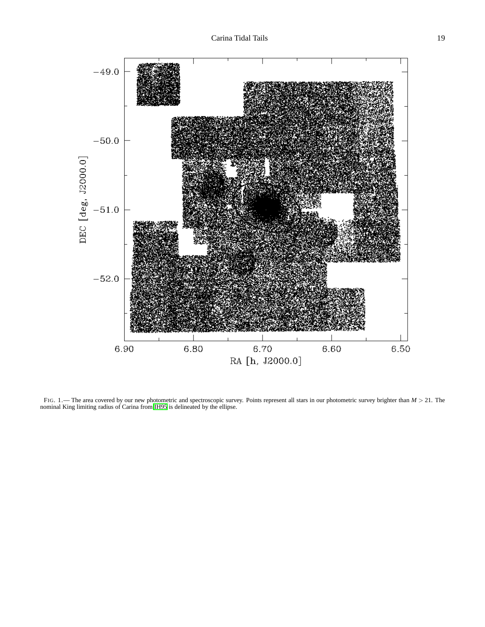

FIG. 1.— The area covered by our new photometric and spectroscopic survey. Points represent all stars in our photometric survey brighter than *M* > 21. The nominal King limiting radius of Carina from [IH95](#page-15-0) is delineated by the ellipse.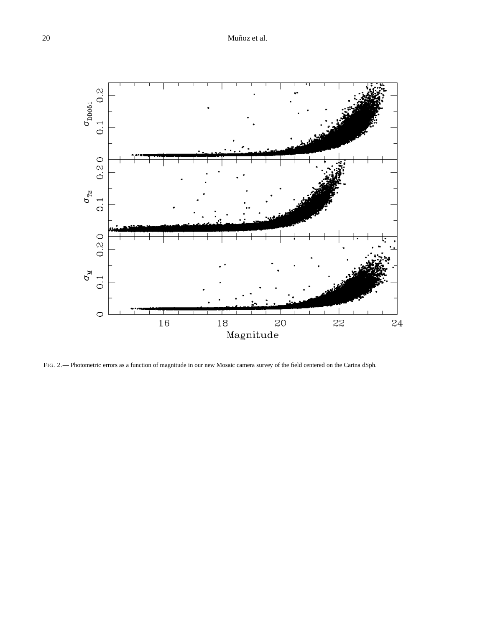

FIG. 2.— Photometric errors as a function of magnitude in our new Mosaic camera survey of the field centered on the Carina dSph.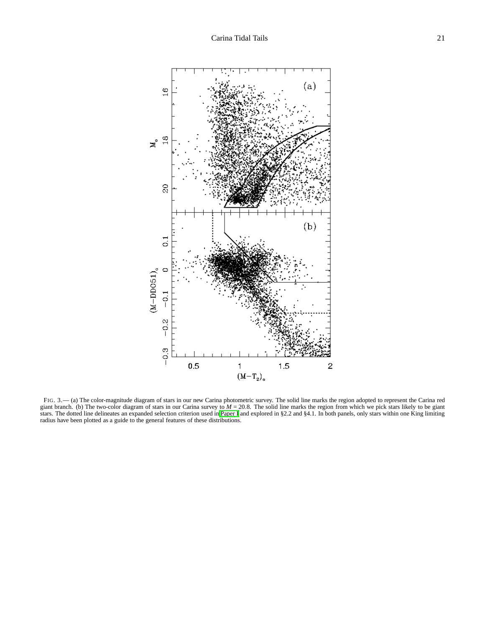

FIG. 3.— (a) The color-magnitude diagram of stars in our new Carina photometric survey. The solid line marks the region adopted to represent the Carina red giant branch. (b) The two-color diagram of stars in our Carina survey to *M* = 20.8. The solid line marks the region from which we pick stars likely to be giant stars. The dotted line delineates an expanded selection criterion used in [Paper I](#page-15-3) and explored in §2.2 and §4.1. In both panels, only stars within one King limiting radius have been plotted as a guide to the general features of these distributions.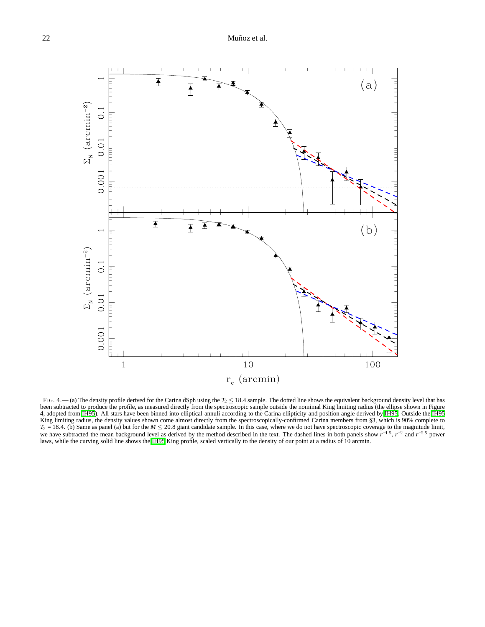

FIG. 4.— (a) The density profile derived for the Carina dSph using the  $T_2 \le 18.4$  sample. The dotted line shows the equivalent background density level that has been subtracted to produce the profile, as measured directly from the spectroscopic sample outside the nomimal King limiting radius (the ellipse shown in Figure 4, adopted from [IH95](#page-15-0)). All stars have been binned into elliptical annuli according to the Carina ellipticity and position angle derived by [IH95](#page-15-0). Outside the [IH95](#page-15-0) King limiting radius, the density values shown come almost directly from the spectroscopically-confirmed Carina members from §3, which is 90% complete to *T*<sub>2</sub> = 18.4. (b) Same as panel (a) but for the *M* ≤ 20.8 giant candidate sample. In this case, where we do not have spectroscopic coverage to the magnitude limit, we have subtracted the mean background level as derived by the method described in the text. The dashed lines in both panels show  $r^{-1.5}$ ,  $r^{-2}$  and  $r^{-2.5}$  power laws, while the curving solid line shows the [IH95](#page-15-0) King profile, scaled vertically to the density of our point at a radius of 10 arcmin.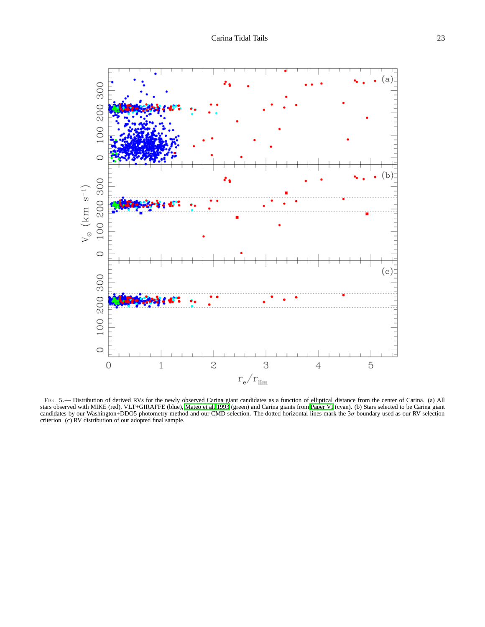

FIG. 5.— Distribution of derived RVs for the newly observed Carina giant candidates as a function of elliptical distance from the center of Carina. (a) All stars observed with MIKE (red), VLT+GIRAFFE (blue), [Mateo et al. 1993](#page-16-11) (green) and Carina giants from [Paper VI](#page-16-3) (cyan). (b) Stars selected to be Carina giant<br>candidates by our Washington+DDO5 photometry method and our CMD se criterion. (c) RV distribution of our adopted final sample.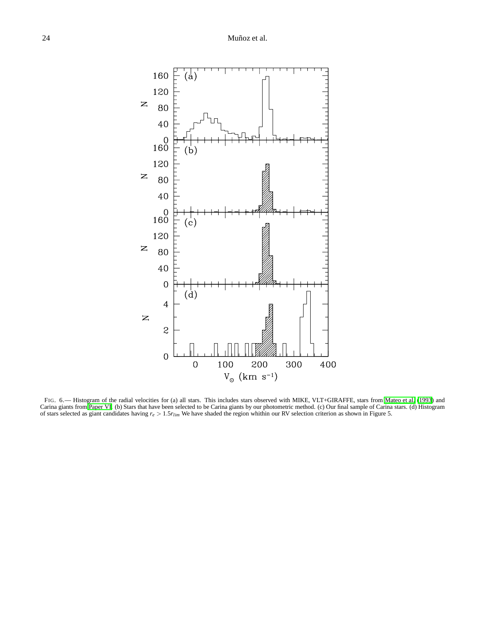

FIG. 6.— Histogram of the radial velocities for (a) all stars. This includes stars observed with MIKE, VLT+GIRAFFE, stars from [Mateo et al. \(1993](#page-16-11)) and Carina giants from [Paper VI.](#page-16-3) (b) Stars that have been selected to be Carina giants by our photometric method. (c) Our final sample of Carina stars. (d) Histogram of stars selected as giant candidates having *r<sup>e</sup>* > 1.5*rlim* We have shaded the region whithin our RV selection criterion as shown in Figure 5.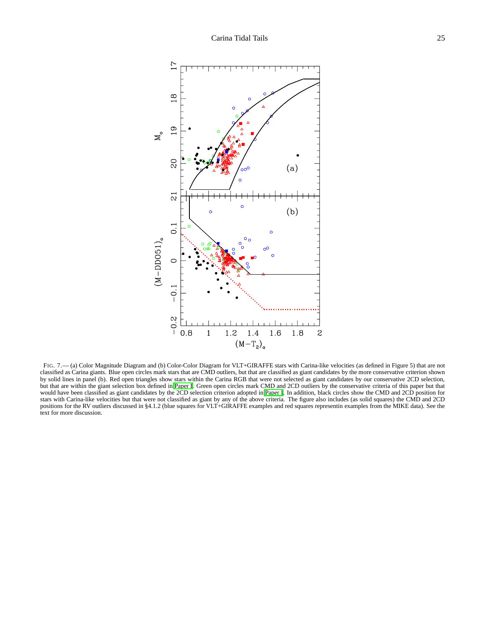

FIG. 7.— (a) Color Magnitude Diagram and (b) Color-Color Diagram for VLT+GIRAFFE stars with Carina-like velocities (as defined in Figure 5) that are not classified as Carina giants. Blue open circles mark stars that are CMD outliers, but that are classified as giant candidates by the more conservative criterion shown by solid lines in panel (b). Red open triangles show stars within the Carina RGB that were not selected as giant candidates by our conservative 2CD selection, but that are within the giant selection box defined in [Paper I](#page-15-3). Green open circles mark CMD and 2CD outliers by the conservative criteria of this paper but that would have been classified as giant candidates by the 2CD selection criterion adopted in [Paper I](#page-15-3). In addition, black circles show the CMD and 2CD position for stars with Carina-like velocities but that were not classified as giant by any of the above criteria. The figure also includes (as solid squares) the CMD and 2CD positions for the RV outliers discussed in §4.1.2 (blue squares for VLT+GIRAFFE examples and red squares representin examples from the MIKE data). See the text for more discussion.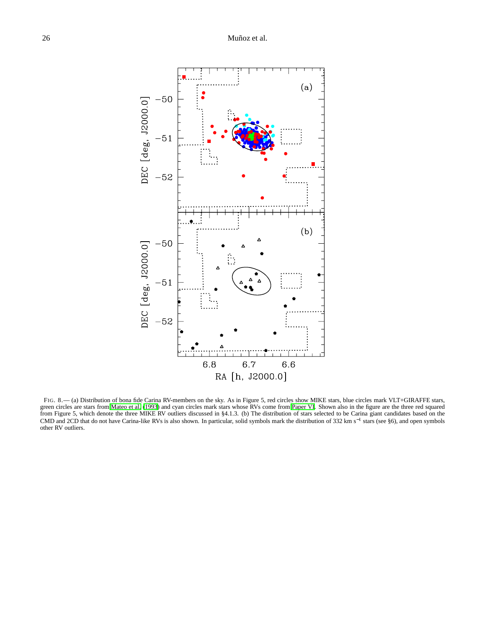

FIG. 8.— (a) Distribution of bona fide Carina RV-members on the sky. As in Figure 5, red circles show MIKE stars, blue circles mark VLT+GIRAFFE stars, green circles are stars from [Mateo et al. \(1993\)](#page-16-11) and cyan circles mark stars whose RVs come from [Paper VI](#page-16-3). Shown also in the figure are the three red squared from Figure 5, which denote the three MIKE RV outliers discussed in §4.1.3. (b) The distribution of stars selected to be Carina giant candidates based on the CMD and 2CD that do not have Carina-like RVs is also shown. In particular, solid symbols mark the distribution of 332 km s<sup>−1</sup> stars (see §6), and open symbols other RV outliers.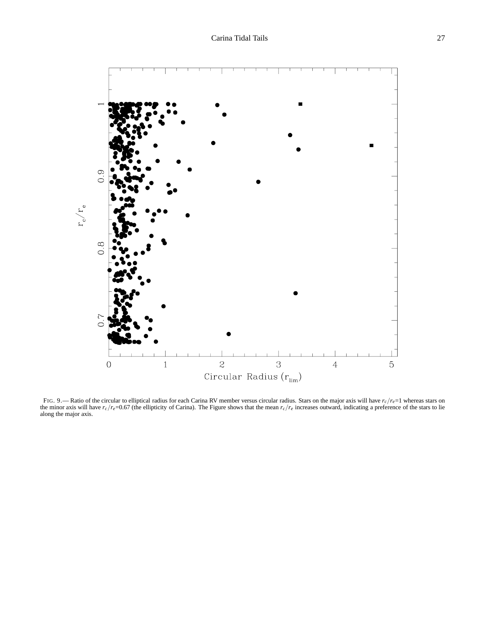

FIG. 9.— Ratio of the circular to elliptical radius for each Carina RV member versus circular radius. Stars on the major axis will have *rc*/*re*=1 whereas stars on the minor axis will have  $r_c/r_e=0.67$  (the ellipticity of Carina). The Figure shows that the mean  $r_c/r_e$  increases outward, indicating a preference of the stars to lie along the major axis.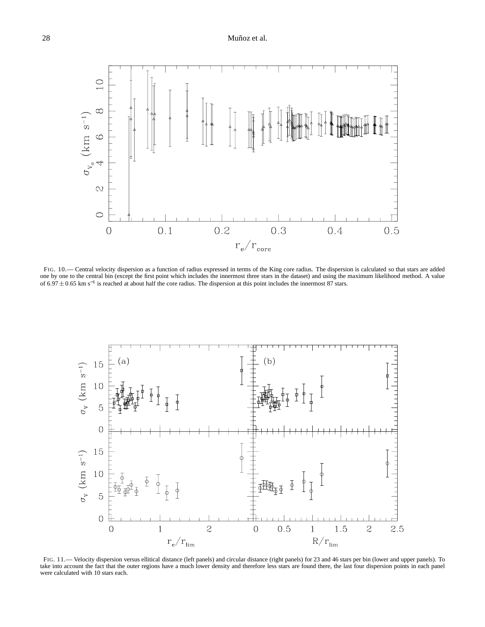

FIG. 10.— Central velocity dispersion as a function of radius expressed in terms of the King core radius. The dispersion is calculated so that stars are added one by one to the central bin (except the first point which includes the innermost three stars in the dataset) and using the maximum likelihood method. A value of 6.97 ± 0.65 km s<sup>-1</sup> is reached at about half the core radius. The dispersion at this point includes the innermost 87 stars.



FIG. 11.— Velocity dispersion versus ellitical distance (left panels) and circular distance (right panels) for 23 and 46 stars per bin (lower and upper panels). To take into account the fact that the outer regions have a much lower density and therefore less stars are found there, the last four dispersion points in each panel were calculated with 10 stars each.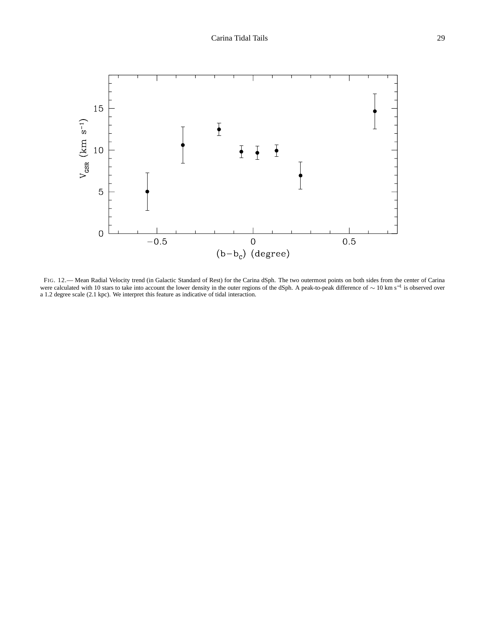

FIG. 12.— Mean Radial Velocity trend (in Galactic Standard of Rest) for the Carina dSph. The two outermost points on both sides from the center of Carina were calculated with 10 stars to take into account the lower density in the outer regions of the dSph. A peak-to-peak difference of  $\sim 10 \text{ km s}^{-1}$  is observed over a 1.2 degree scale (2.1 kpc). We interpret this feature as indicative of tidal interaction.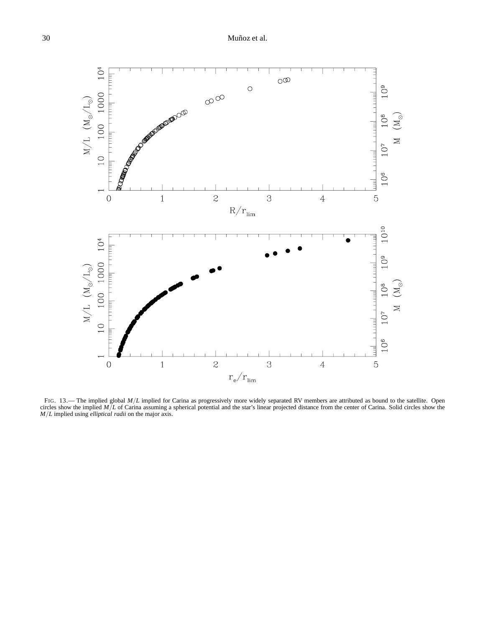

FIG. 13.— The implied global *M*/*L* implied for Carina as progressively more widely separated RV members are attributed as bound to the satellite. Open circles show the implied *M*/*L* of Carina assuming a spherical potential and the star's linear projected distance from the center of Carina. Solid circles show the *M*/*L* implied using *elliptical radii* on the major axis.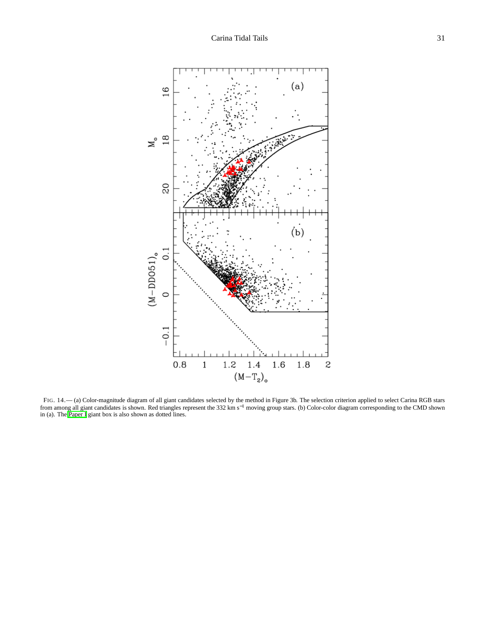

FIG. 14.— (a) Color-magnitude diagram of all giant candidates selected by the method in Figure 3b. The selection criterion applied to select Carina RGB stars from among all giant candidates is shown. Red triangles represent the 332 km s<sup>−1</sup> moving group stars. (b) Color-color diagram corresponding to the CMD shown in (a). The [Paper I](#page-15-3) giant box is also shown as dotted lines.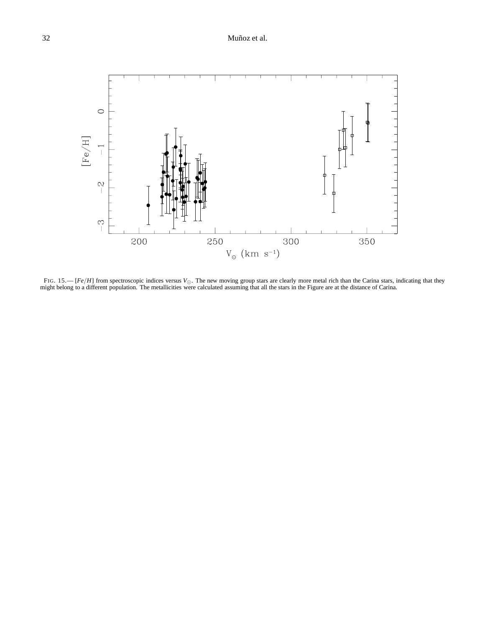

FIG. 15.— [*Fe*/*H*] from spectroscopic indices versus *V*⊙. The new moving group stars are clearly more metal rich than the Carina stars, indicating that they might belong to a different population. The metallicities were calculated assuming that all the stars in the Figure are at the distance of Carina.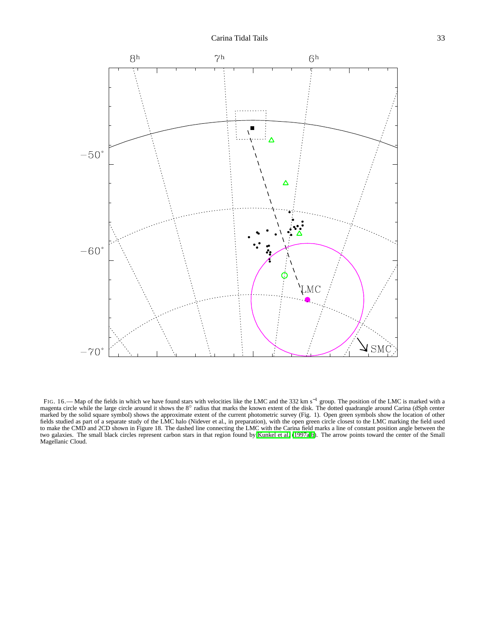

FIG. 16.— Map of the fields in which we have found stars with velocities like the LMC and the 332 km s<sup>−1</sup> group. The position of the LMC is marked with a magenta circle while the large circle around it shows the 8° radius that marks the known extent of the disk. The dotted quadrangle around Carina (dSph center marked by the solid square symbol) shows the approximate extent of the current photometric survey (Fig. 1). Open green symbols show the location of other fields studied as part of a separate study of the LMC halo (Nidever et al., in preparation), with the open green circle closest to the LMC marking the field used to make the CMD and 2CD shown in Figure 18. The dashed line connecting the LMC with the Carina field marks a line of constant position angle between the two galaxies. The small black circles represent carbon stars in that region found by [Kunkel et al. \(1997a](#page-15-8)[,b\)](#page-15-43). The arrow points toward the center of the Small Magellanic Cloud.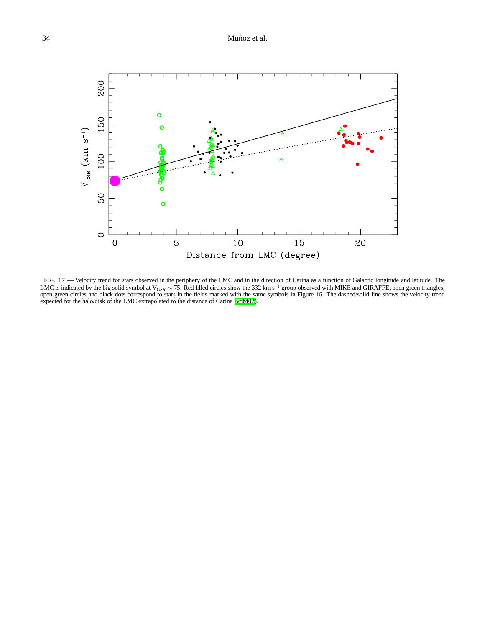## 34 Muñoz et al.



FIG. 17.— Velocity trend for stars observed in the periphery of the LMC and in the direction of Carina as a function of Galactic longitude and latitude. The LMC is indicated by the big solid symbol at V*GSR* ∼ 75. Red filled circles show the 332 km s−<sup>1</sup> group observed with MIKE and GIRAFFE, open green triangles, open green circles and black dots correspond to stars in the fields marked with the same symbols in Figure 16. The dashed/solid line shows the velocity trend expected for the halo/disk of the LMC extrapolated to the distance of Carina [\(vdM02](#page-16-36)).